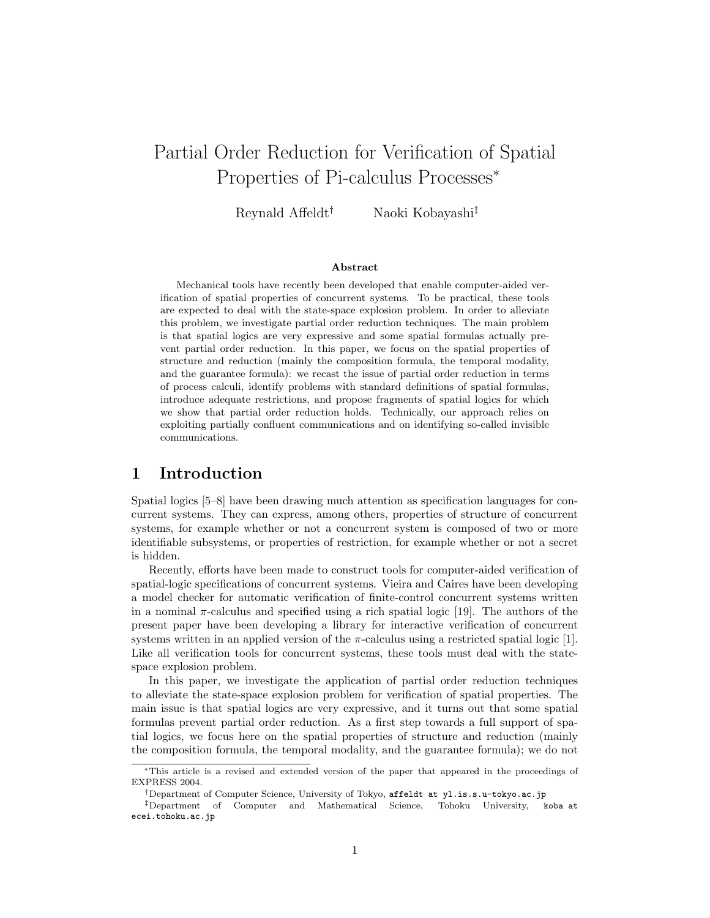# Partial Order Reduction for Verification of Spatial Properties of Pi-calculus Processes<sup>∗</sup>

Reynald Affeldt† Naoki Kobayashi‡

#### Abstract

Mechanical tools have recently been developed that enable computer-aided verification of spatial properties of concurrent systems. To be practical, these tools are expected to deal with the state-space explosion problem. In order to alleviate this problem, we investigate partial order reduction techniques. The main problem is that spatial logics are very expressive and some spatial formulas actually prevent partial order reduction. In this paper, we focus on the spatial properties of structure and reduction (mainly the composition formula, the temporal modality, and the guarantee formula): we recast the issue of partial order reduction in terms of process calculi, identify problems with standard definitions of spatial formulas, introduce adequate restrictions, and propose fragments of spatial logics for which we show that partial order reduction holds. Technically, our approach relies on exploiting partially confluent communications and on identifying so-called invisible communications.

## 1 Introduction

Spatial logics [5–8] have been drawing much attention as specification languages for concurrent systems. They can express, among others, properties of structure of concurrent systems, for example whether or not a concurrent system is composed of two or more identifiable subsystems, or properties of restriction, for example whether or not a secret is hidden.

Recently, efforts have been made to construct tools for computer-aided verification of spatial-logic specifications of concurrent systems. Vieira and Caires have been developing a model checker for automatic verification of finite-control concurrent systems written in a nominal  $\pi$ -calculus and specified using a rich spatial logic [19]. The authors of the present paper have been developing a library for interactive verification of concurrent systems written in an applied version of the  $\pi$ -calculus using a restricted spatial logic [1]. Like all verification tools for concurrent systems, these tools must deal with the statespace explosion problem.

In this paper, we investigate the application of partial order reduction techniques to alleviate the state-space explosion problem for verification of spatial properties. The main issue is that spatial logics are very expressive, and it turns out that some spatial formulas prevent partial order reduction. As a first step towards a full support of spatial logics, we focus here on the spatial properties of structure and reduction (mainly the composition formula, the temporal modality, and the guarantee formula); we do not

<sup>∗</sup>This article is a revised and extended version of the paper that appeared in the proceedings of EXPRESS 2004.

<sup>†</sup>Department of Computer Science, University of Tokyo, affeldt at yl.is.s.u-tokyo.ac.jp

<sup>‡</sup>Department of Computer and Mathematical Science, Tohoku University, koba at ecei.tohoku.ac.jp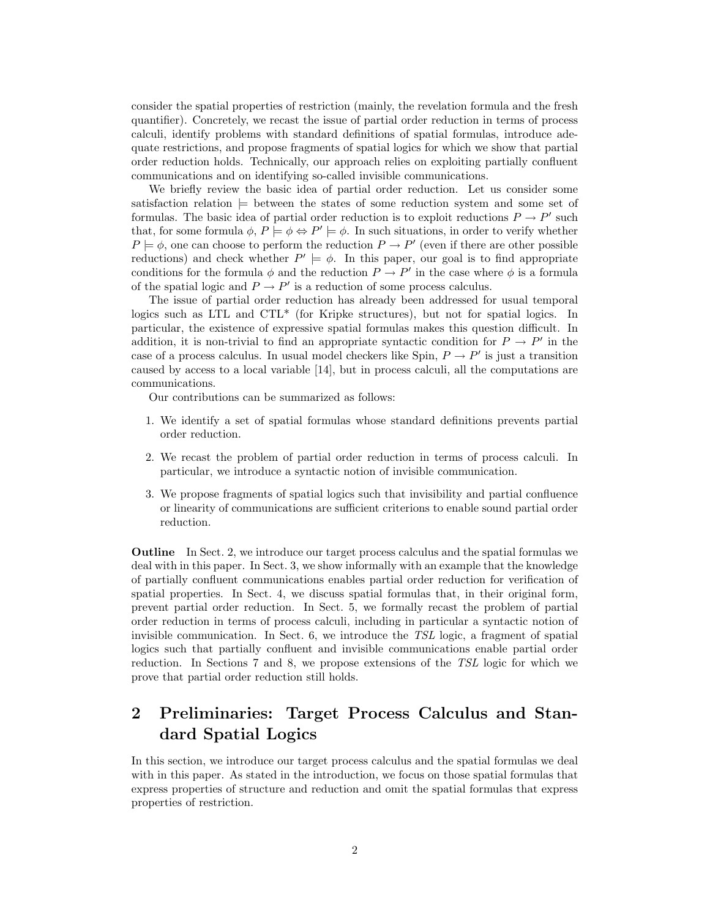consider the spatial properties of restriction (mainly, the revelation formula and the fresh quantifier). Concretely, we recast the issue of partial order reduction in terms of process calculi, identify problems with standard definitions of spatial formulas, introduce adequate restrictions, and propose fragments of spatial logics for which we show that partial order reduction holds. Technically, our approach relies on exploiting partially confluent communications and on identifying so-called invisible communications.

We briefly review the basic idea of partial order reduction. Let us consider some satisfaction relation  $\models$  between the states of some reduction system and some set of formulas. The basic idea of partial order reduction is to exploit reductions  $P \to P'$  such that, for some formula  $\phi$ ,  $P \models \phi \Leftrightarrow P' \models \phi$ . In such situations, in order to verify whether  $P \models \phi$ , one can choose to perform the reduction  $P \rightarrow P'$  (even if there are other possible reductions) and check whether  $P' \models \phi$ . In this paper, our goal is to find appropriate conditions for the formula  $\phi$  and the reduction  $P \to P'$  in the case where  $\phi$  is a formula of the spatial logic and  $P \to P'$  is a reduction of some process calculus.

The issue of partial order reduction has already been addressed for usual temporal logics such as LTL and CTL\* (for Kripke structures), but not for spatial logics. In particular, the existence of expressive spatial formulas makes this question difficult. In addition, it is non-trivial to find an appropriate syntactic condition for  $P \to P'$  in the case of a process calculus. In usual model checkers like Spin,  $P \to P'$  is just a transition caused by access to a local variable [14], but in process calculi, all the computations are communications.

Our contributions can be summarized as follows:

- 1. We identify a set of spatial formulas whose standard definitions prevents partial order reduction.
- 2. We recast the problem of partial order reduction in terms of process calculi. In particular, we introduce a syntactic notion of invisible communication.
- 3. We propose fragments of spatial logics such that invisibility and partial confluence or linearity of communications are sufficient criterions to enable sound partial order reduction.

Outline In Sect. 2, we introduce our target process calculus and the spatial formulas we deal with in this paper. In Sect. 3, we show informally with an example that the knowledge of partially confluent communications enables partial order reduction for verification of spatial properties. In Sect. 4, we discuss spatial formulas that, in their original form, prevent partial order reduction. In Sect. 5, we formally recast the problem of partial order reduction in terms of process calculi, including in particular a syntactic notion of invisible communication. In Sect. 6, we introduce the TSL logic, a fragment of spatial logics such that partially confluent and invisible communications enable partial order reduction. In Sections 7 and 8, we propose extensions of the TSL logic for which we prove that partial order reduction still holds.

## 2 Preliminaries: Target Process Calculus and Standard Spatial Logics

In this section, we introduce our target process calculus and the spatial formulas we deal with in this paper. As stated in the introduction, we focus on those spatial formulas that express properties of structure and reduction and omit the spatial formulas that express properties of restriction.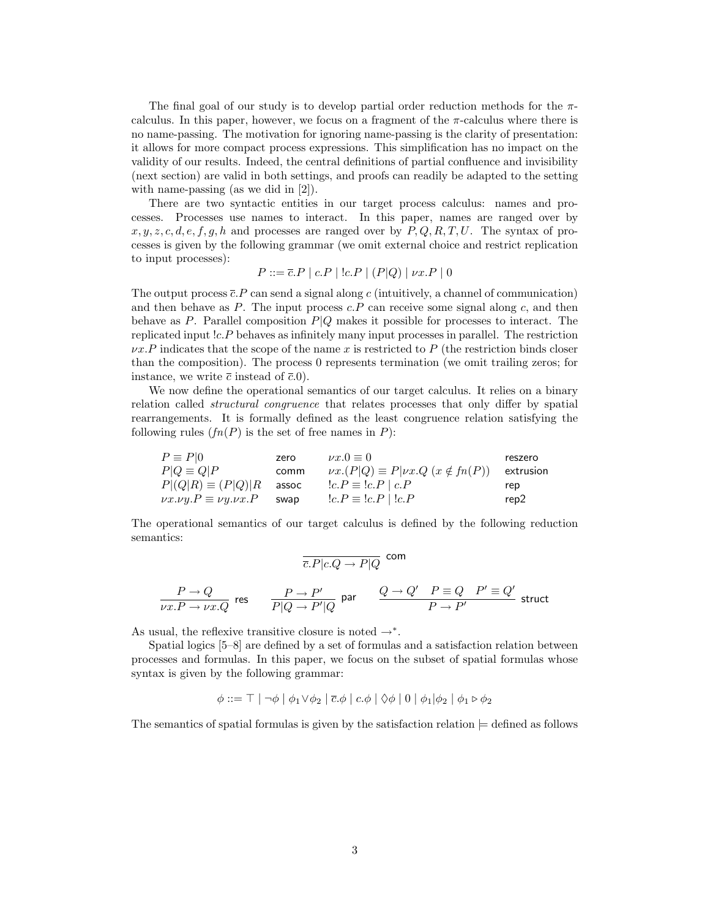The final goal of our study is to develop partial order reduction methods for the  $\pi$ calculus. In this paper, however, we focus on a fragment of the  $\pi$ -calculus where there is no name-passing. The motivation for ignoring name-passing is the clarity of presentation: it allows for more compact process expressions. This simplification has no impact on the validity of our results. Indeed, the central definitions of partial confluence and invisibility (next section) are valid in both settings, and proofs can readily be adapted to the setting with name-passing (as we did in [2]).

There are two syntactic entities in our target process calculus: names and processes. Processes use names to interact. In this paper, names are ranged over by  $x, y, z, c, d, e, f, q, h$  and processes are ranged over by  $P, Q, R, T, U$ . The syntax of processes is given by the following grammar (we omit external choice and restrict replication to input processes):

$$
P ::= \overline{c}.P \mid c.P \mid !c.P \mid (P|Q) \mid \nu x.P \mid 0
$$

The output process  $\bar{c}$ . P can send a signal along c (intuitively, a channel of communication) and then behave as  $P$ . The input process  $c.P$  can receive some signal along  $c$ , and then behave as P. Parallel composition  $P|Q$  makes it possible for processes to interact. The replicated input !c.P behaves as infinitely many input processes in parallel. The restriction  $\nu x.P$  indicates that the scope of the name x is restricted to P (the restriction binds closer than the composition). The process 0 represents termination (we omit trailing zeros; for instance, we write  $\bar{c}$  instead of  $\bar{c}.0$ .

We now define the operational semantics of our target calculus. It relies on a binary relation called structural congruence that relates processes that only differ by spatial rearrangements. It is formally defined as the least congruence relation satisfying the following rules  $(f_n(P))$  is the set of free names in P):

$$
\begin{array}{llll} P \equiv P |0 & \text{zero} & \nu x.0 \equiv 0 & \text{reszero} \\ P |Q \equiv Q | P & \text{comm} & \nu x. (P | Q) \equiv P | \nu x. Q \ (x \notin fn(P)) & \text{extrusion} \\ P | (Q | R) \equiv (P | Q) | R & \text{assoc} & \text{l} c. P \equiv \text{l} c. P \ | \ c. P \\ \nu x. \nu y. P \equiv \nu y. \nu x. P & \text{swap} & \text{l} c. P \equiv \text{l} c. P \ | \text{l} c. P & \text{rep} \\ \end{array}
$$

The operational semantics of our target calculus is defined by the following reduction semantics:

com

$$
\frac{P \to Q}{\overline{c}.P|c.Q \to P|Q} \text{ com}
$$
\n
$$
\frac{P \to Q}{\nu x.P \to \nu x.Q} \text{ res} \qquad \frac{P \to P'}{P|Q \to P'|Q} \text{ par} \qquad \frac{Q \to Q' \quad P \equiv Q \quad P' \equiv Q'}{P \to P'} \text{ struct}
$$

As usual, the reflexive transitive closure is noted  $\rightarrow^*$ .

Spatial logics [5–8] are defined by a set of formulas and a satisfaction relation between processes and formulas. In this paper, we focus on the subset of spatial formulas whose syntax is given by the following grammar:

 $\phi ::= \top | \neg \phi | \phi_1 \vee \phi_2 | \overline{c} \cdot \phi | c \cdot \phi | \Diamond \phi | 0 | \phi_1 | \phi_2 | \phi_1 \triangleright \phi_2$ 

The semantics of spatial formulas is given by the satisfaction relation  $\models$  defined as follows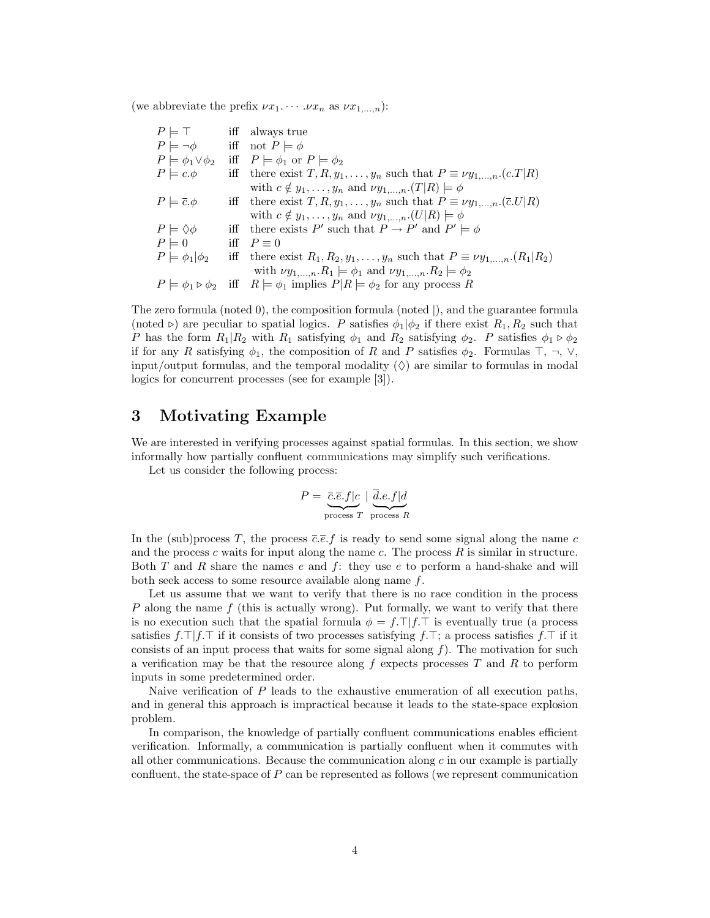(we abbreviate the prefix  $\nu x_1 \cdots \nu x_n$  as  $\nu x_{1,\dots,n}$ ):

| $P \models \top$               | iff always true                                                                                                |
|--------------------------------|----------------------------------------------------------------------------------------------------------------|
| $P \models \neg \phi$          | iff not $P \models \phi$                                                                                       |
| $P \models \phi_1 \vee \phi_2$ | iff $P \models \phi_1$ or $P \models \phi_2$                                                                   |
| $P \models c.\phi$             | iff there exist $T, R, y_1, \ldots, y_n$ such that $P \equiv \nu y_{1,\ldots,n}$ . $(c.T R)$                   |
|                                | with $c \notin y_1, \ldots, y_n$ and $\nu y_1, \ldots, n \cdot (T R) \models \phi$                             |
| $P \models \overline{c}.\phi$  | iff there exist $T, R, y_1, \ldots, y_n$ such that $P \equiv \nu y_{1,\ldots,n}$ . $(\bar{c}U R)$              |
|                                | with $c \notin y_1, \ldots, y_n$ and $\nu y_1, \ldots, n \cdot (U R) \models \phi$                             |
| $P \models \Diamond \phi$      | iff there exists P' such that $P \to P'$ and $P' \models \phi$                                                 |
| $P \models 0$                  | iff $P \equiv 0$                                                                                               |
| $P \models \phi_1   \phi_2$    | iff there exist $R_1, R_2, y_1, \ldots, y_n$ such that $P \equiv \nu y_{1,\ldots,n} (R_1   R_2)$               |
|                                | with $\nu y_{1,\dots,n} R_1 \models \phi_1$ and $\nu y_{1,\dots,n} R_2 \models \phi_2$                         |
|                                | $P \models \phi_1 \triangleright \phi_2$ iff $R \models \phi_1$ implies $P R \models \phi_2$ for any process R |

The zero formula (noted 0), the composition formula (noted |), and the guarantee formula (noted  $\triangleright$ ) are peculiar to spatial logics. P satisfies  $\phi_1|\phi_2$  if there exist  $R_1, R_2$  such that P has the form  $R_1|R_2$  with  $R_1$  satisfying  $\phi_1$  and  $R_2$  satisfying  $\phi_2$ . P satisfies  $\phi_1 \triangleright \phi_2$ if for any R satisfying  $\phi_1$ , the composition of R and P satisfies  $\phi_2$ . Formulas  $\top$ ,  $\neg$ ,  $\vee$ , input/output formulas, and the temporal modality  $(\Diamond)$  are similar to formulas in modal logics for concurrent processes (see for example [3]).

## 3 Motivating Example

We are interested in verifying processes against spatial formulas. In this section, we show informally how partially confluent communications may simplify such verifications.

Let us consider the following process:

$$
P = \underbrace{\overline{c}.\overline{e}.f|c}_{\text{process }T} | \underbrace{\overline{d}.e.f|d}_{\text{process }R}
$$

In the (sub)process T, the process  $\bar{c}.\bar{e}.f$  is ready to send some signal along the name c and the process c waits for input along the name c. The process  $R$  is similar in structure. Both  $T$  and  $R$  share the names  $e$  and  $f$ : they use  $e$  to perform a hand-shake and will both seek access to some resource available along name f.

Let us assume that we want to verify that there is no race condition in the process P along the name  $f$  (this is actually wrong). Put formally, we want to verify that there is no execution such that the spatial formula  $\phi = f.\top |f.\top$  is eventually true (a process satisfies  $f.\top | f.\top$  if it consists of two processes satisfying  $f.\top$ ; a process satisfies  $f.\top$  if it consists of an input process that waits for some signal along  $f$ ). The motivation for such a verification may be that the resource along  $f$  expects processes  $T$  and  $R$  to perform inputs in some predetermined order.

Naive verification of P leads to the exhaustive enumeration of all execution paths, and in general this approach is impractical because it leads to the state-space explosion problem.

In comparison, the knowledge of partially confluent communications enables efficient verification. Informally, a communication is partially confluent when it commutes with all other communications. Because the communication along  $c$  in our example is partially confluent, the state-space of P can be represented as follows (we represent communication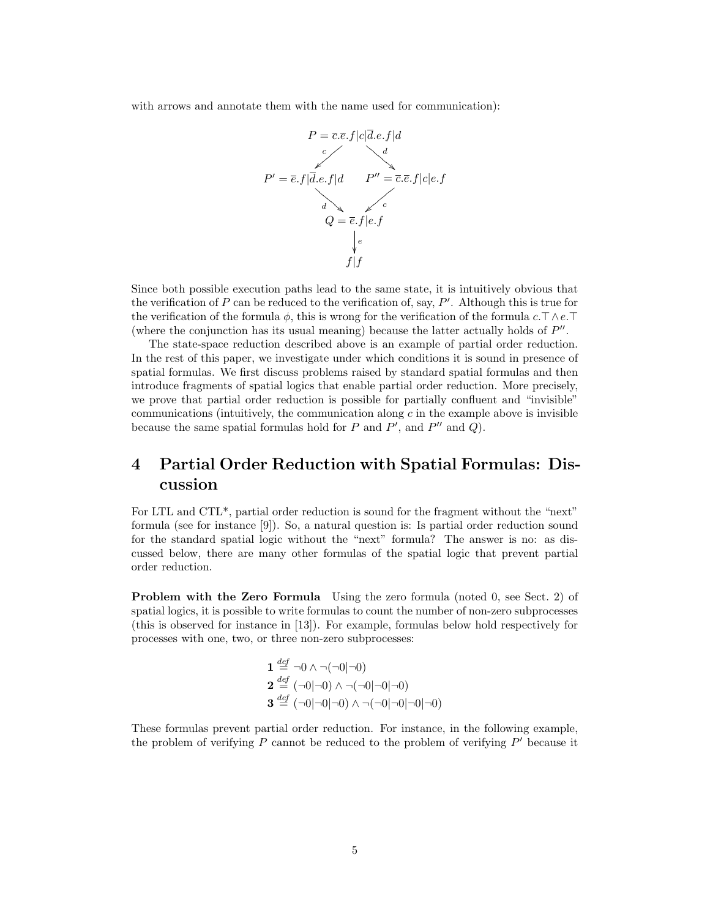with arrows and annotate them with the name used for communication):



Since both possible execution paths lead to the same state, it is intuitively obvious that the verification of  $P$  can be reduced to the verification of, say,  $P'$ . Although this is true for the verification of the formula  $\phi$ , this is wrong for the verification of the formula c.  $\top \wedge e$ . (where the conjunction has its usual meaning) because the latter actually holds of  $P''$ .

The state-space reduction described above is an example of partial order reduction. In the rest of this paper, we investigate under which conditions it is sound in presence of spatial formulas. We first discuss problems raised by standard spatial formulas and then introduce fragments of spatial logics that enable partial order reduction. More precisely, we prove that partial order reduction is possible for partially confluent and "invisible" communications (intuitively, the communication along  $c$  in the example above is invisible because the same spatial formulas hold for  $P$  and  $P'$ , and  $P''$  and  $Q$ ).

## 4 Partial Order Reduction with Spatial Formulas: Discussion

For LTL and CTL\*, partial order reduction is sound for the fragment without the "next" formula (see for instance [9]). So, a natural question is: Is partial order reduction sound for the standard spatial logic without the "next" formula? The answer is no: as discussed below, there are many other formulas of the spatial logic that prevent partial order reduction.

Problem with the Zero Formula Using the zero formula (noted 0, see Sect. 2) of spatial logics, it is possible to write formulas to count the number of non-zero subprocesses (this is observed for instance in [13]). For example, formulas below hold respectively for processes with one, two, or three non-zero subprocesses:

**1** 
$$
\stackrel{def}{=} \neg 0 \land \neg(\neg 0|\neg 0)
$$
  
\n**2**  $\stackrel{def}{=} (\neg 0|\neg 0) \land \neg(\neg 0|\neg 0|\neg 0)$   
\n**3**  $\stackrel{def}{=} (\neg 0|\neg 0|\neg 0) \land \neg(\neg 0|\neg 0|\neg 0|\neg 0)$ 

These formulas prevent partial order reduction. For instance, in the following example, the problem of verifying  $P$  cannot be reduced to the problem of verifying  $P'$  because it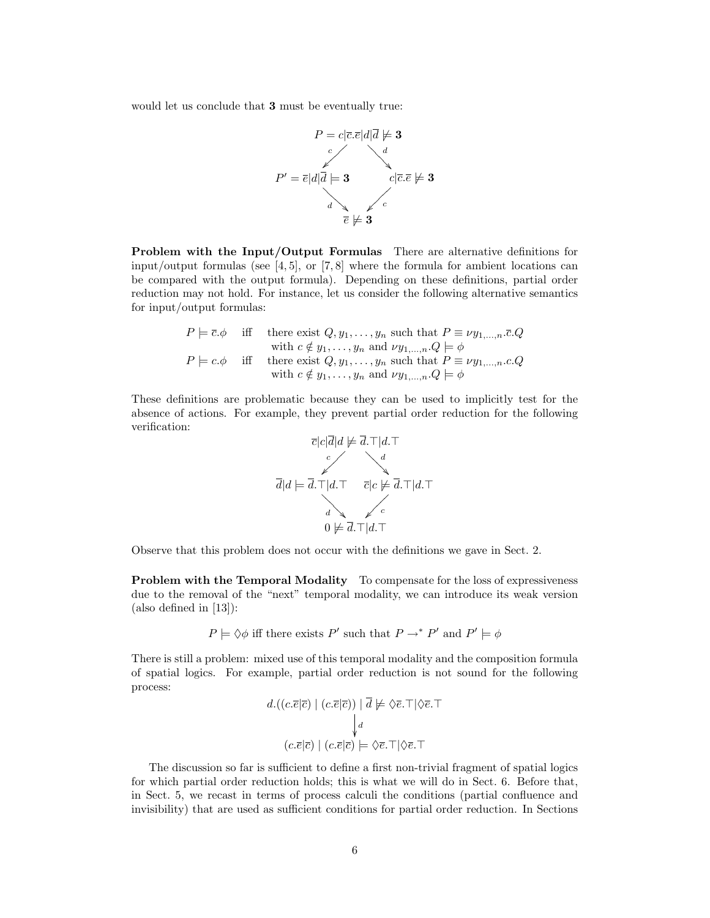would let us conclude that 3 must be eventually true:



Problem with the Input/Output Formulas There are alternative definitions for input/output formulas (see  $[4, 5]$ , or  $[7, 8]$  where the formula for ambient locations can be compared with the output formula). Depending on these definitions, partial order reduction may not hold. For instance, let us consider the following alternative semantics for input/output formulas:

$$
P \models \overline{c}.\phi \quad \text{iff} \quad \text{there exist } Q, y_1, \dots, y_n \text{ such that } P \equiv \nu y_1, \dots, n.\overline{c}.Q
$$
  
with  $c \notin y_1, \dots, y_n$  and  $\nu y_1, \dots, n.\overline{Q} \models \phi$   
 $P \models c.\phi \quad \text{iff} \quad \text{there exist } Q, y_1, \dots, y_n \text{ such that } P \equiv \nu y_1, \dots, n.c.Q$   
with  $c \notin y_1, \dots, y_n \text{ and } \nu y_1, \dots, n.Q \models \phi$ 

These definitions are problematic because they can be used to implicitly test for the absence of actions. For example, they prevent partial order reduction for the following verification:



Observe that this problem does not occur with the definitions we gave in Sect. 2.

Problem with the Temporal Modality To compensate for the loss of expressiveness due to the removal of the "next" temporal modality, we can introduce its weak version (also defined in [13]):

$$
P \models \Diamond \phi
$$
 iff there exists P' such that  $P \rightarrow^* P'$  and  $P' \models \phi$ 

There is still a problem: mixed use of this temporal modality and the composition formula of spatial logics. For example, partial order reduction is not sound for the following process:

$$
d.((c.\overline{e}|\overline{c}) | (c.\overline{e}|\overline{c})) |\overline{d} \not\models \Diamond \overline{e}.\top | \Diamond \overline{e}.\top
$$

$$
\downarrow_d
$$

$$
(c.\overline{e}|\overline{c}) | (c.\overline{e}|\overline{c}) \models \Diamond \overline{e}.\top | \Diamond \overline{e}.\top
$$

The discussion so far is sufficient to define a first non-trivial fragment of spatial logics for which partial order reduction holds; this is what we will do in Sect. 6. Before that, in Sect. 5, we recast in terms of process calculi the conditions (partial confluence and invisibility) that are used as sufficient conditions for partial order reduction. In Sections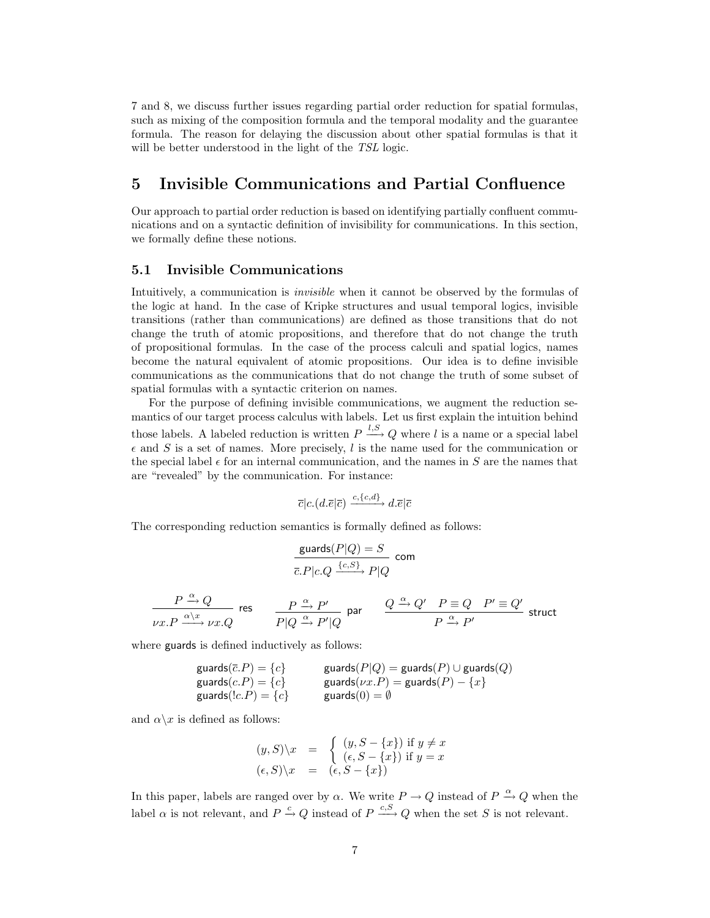7 and 8, we discuss further issues regarding partial order reduction for spatial formulas, such as mixing of the composition formula and the temporal modality and the guarantee formula. The reason for delaying the discussion about other spatial formulas is that it will be better understood in the light of the TSL logic.

## 5 Invisible Communications and Partial Confluence

Our approach to partial order reduction is based on identifying partially confluent communications and on a syntactic definition of invisibility for communications. In this section, we formally define these notions.

#### 5.1 Invisible Communications

Intuitively, a communication is invisible when it cannot be observed by the formulas of the logic at hand. In the case of Kripke structures and usual temporal logics, invisible transitions (rather than communications) are defined as those transitions that do not change the truth of atomic propositions, and therefore that do not change the truth of propositional formulas. In the case of the process calculi and spatial logics, names become the natural equivalent of atomic propositions. Our idea is to define invisible communications as the communications that do not change the truth of some subset of spatial formulas with a syntactic criterion on names.

For the purpose of defining invisible communications, we augment the reduction semantics of our target process calculus with labels. Let us first explain the intuition behind those labels. A labeled reduction is written  $P \stackrel{l,S}{\longrightarrow} Q$  where l is a name or a special label  $\epsilon$  and S is a set of names. More precisely, l is the name used for the communication or the special label  $\epsilon$  for an internal communication, and the names in S are the names that are "revealed" by the communication. For instance:

$$
\overline{c}|c.(d.\overline{e}|\overline{c}) \xrightarrow{c,\{c,d\}} d.\overline{e}|\overline{c}
$$

The corresponding reduction semantics is formally defined as follows:

$$
\frac{\text{guards}(P|Q) = S}{\overline{c}.P|c.Q \xrightarrow{\{c,S\}} P|Q} \text{ com}
$$

$$
\frac{P\xrightarrow{\alpha}Q}{\nu x.P\xrightarrow{\alpha\backslash x}\nu x.Q} \text{ res } \quad \frac{P\xrightarrow{\alpha}P'}{P|Q\xrightarrow{\alpha}P'|Q} \text{ par } \quad \frac{Q\xrightarrow{\alpha}Q'}{P\xrightarrow{\alpha}P'}\frac{P\equiv Q\quadP'\equiv Q'}{P\xrightarrow{\alpha}P'} \text{ struct }
$$

where guards is defined inductively as follows:

$$
\begin{array}{ll}\n\text{guards}(\overline{c}.P) = \{c\} & \text{guards}(P|Q) = \text{guards}(P) \cup \text{guards}(Q) \\
\text{guards}(c.P) = \{c\} & \text{guards}(0) = \emptyset \\
\text{guards}(!c.P) = \{c\} & \text{guards}(0) = \emptyset\n\end{array}
$$

and  $\alpha \backslash x$  is defined as follows:

$$
(y, S)\n\begin{cases}\nx = \n\begin{cases}\n(y, S - \{x\}) & \text{if } y \neq x \\
(\epsilon, S - \{x\}) & \text{if } y = x\n\end{cases} \\
(\epsilon, S)\n\begin{cases}\nx = (\epsilon, S - \{x\})\n\end{cases}
$$

In this paper, labels are ranged over by  $\alpha$ . We write  $P \to Q$  instead of  $P \xrightarrow{\alpha} Q$  when the label  $\alpha$  is not relevant, and  $P \stackrel{c}{\rightarrow} Q$  instead of  $P \stackrel{c,S}{\longrightarrow} Q$  when the set S is not relevant.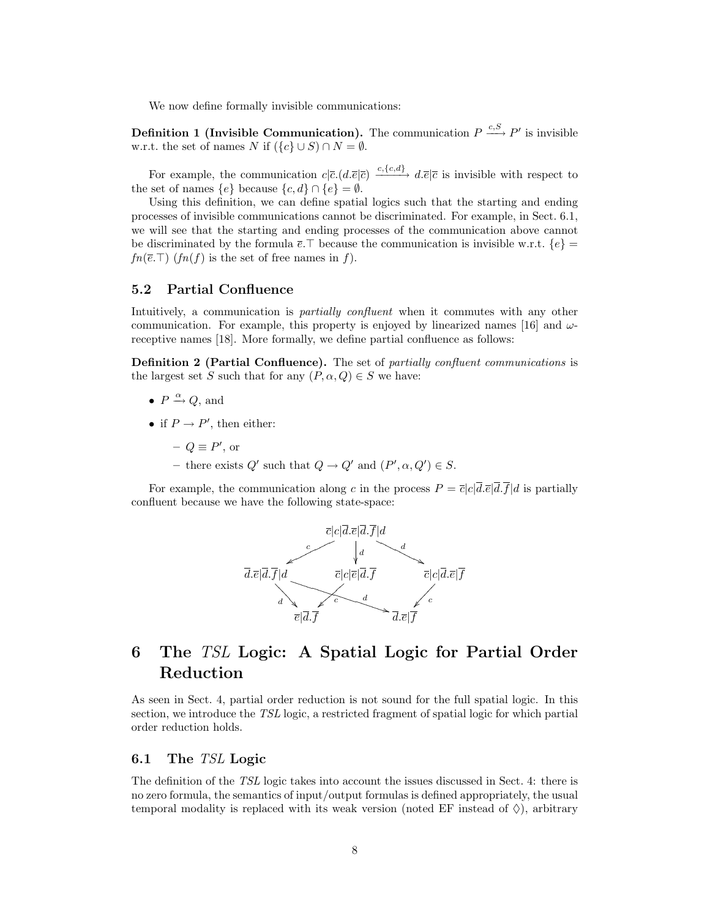We now define formally invisible communications:

**Definition 1 (Invisible Communication).** The communication  $P \xrightarrow{c, S} P'$  is invisible w.r.t. the set of names N if  $({c} \cup S) \cap N = \emptyset$ .

For example, the communication  $c|\bar{c}(d.\bar{e}|\bar{c}) \xrightarrow{c,\{c,d\}} d.\bar{e}|\bar{c}$  is invisible with respect to the set of names  $\{e\}$  because  $\{c, d\} \cap \{e\} = \emptyset$ .

Using this definition, we can define spatial logics such that the starting and ending processes of invisible communications cannot be discriminated. For example, in Sect. 6.1, we will see that the starting and ending processes of the communication above cannot be discriminated by the formula  $\bar{e}$ . because the communication is invisible w.r.t.  $\{e\}$  =  $fn(\overline{e}.\top)$  (fn(f) is the set of free names in f).

#### 5.2 Partial Confluence

Intuitively, a communication is *partially confluent* when it commutes with any other communication. For example, this property is enjoyed by linearized names [16] and  $\omega$ receptive names [18]. More formally, we define partial confluence as follows:

Definition 2 (Partial Confluence). The set of partially confluent communications is the largest set S such that for any  $(P, \alpha, Q) \in S$  we have:

- $P \xrightarrow{\alpha} Q$ , and
- if  $P \to P'$ , then either:
	- $-Q \equiv P'$ , or
	- there exists  $Q'$  such that  $Q \to Q'$  and  $(P', \alpha, Q') \in S$ .

For example, the communication along c in the process  $P = \overline{c}|c|\overline{d}.\overline{e}|\overline{d}.\overline{f}|d$  is partially confluent because we have the following state-space:



## 6 The TSL Logic: A Spatial Logic for Partial Order Reduction

As seen in Sect. 4, partial order reduction is not sound for the full spatial logic. In this section, we introduce the TSL logic, a restricted fragment of spatial logic for which partial order reduction holds.

#### 6.1 The TSL Logic

The definition of the TSL logic takes into account the issues discussed in Sect. 4: there is no zero formula, the semantics of input/output formulas is defined appropriately, the usual temporal modality is replaced with its weak version (noted EF instead of  $\Diamond$ ), arbitrary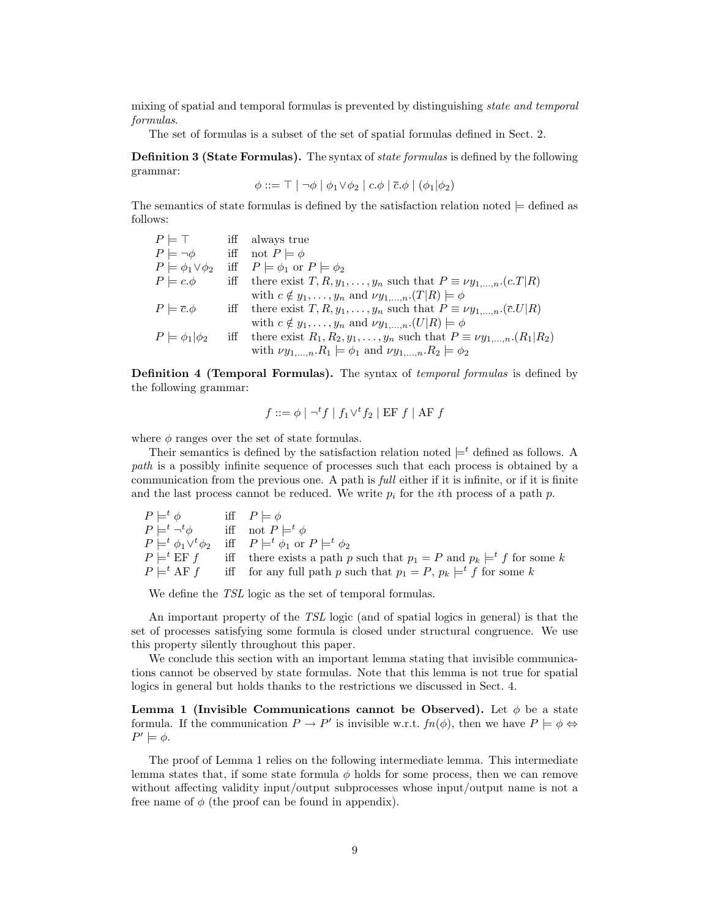mixing of spatial and temporal formulas is prevented by distinguishing state and temporal formulas.

The set of formulas is a subset of the set of spatial formulas defined in Sect. 2.

Definition 3 (State Formulas). The syntax of state formulas is defined by the following grammar:

$$
\phi ::= \top | \neg \phi | \phi_1 \vee \phi_2 | c.\phi | \overline{c}.\phi | (\phi_1 | \phi_2)
$$

The semantics of state formulas is defined by the satisfaction relation noted  $\models$  defined as follows:

| $P \models \top$               | iff always true                                                                                        |
|--------------------------------|--------------------------------------------------------------------------------------------------------|
| $P \models \neg \phi$          | iff not $P \models \phi$                                                                               |
| $P \models \phi_1 \vee \phi_2$ | iff $P \models \phi_1$ or $P \models \phi_2$                                                           |
| $P \models c.\phi$             | iff there exist $T, R, y_1, \ldots, y_n$ such that $P \equiv \nu y_1, \ldots, n \cdot (c \cdot T   R)$ |
|                                | with $c \notin y_1, \ldots, y_n$ and $\nu y_1, \ldots, n \cdot (T R) \models \phi$                     |
| $P \models \overline{c}.\phi$  | iff there exist $T, R, y_1, \ldots, y_n$ such that $P \equiv \nu y_1, \ldots, n \cdot (\bar{c} U   R)$ |
|                                | with $c \notin y_1, \ldots, y_n$ and $\nu y_1, \ldots, n \cdot (U R) \models \phi$                     |
| $P \models \phi_1   \phi_2$    | iff there exist $R_1, R_2, y_1, \ldots, y_n$ such that $P \equiv \nu y_{1,\ldots,n} (R_1   R_2)$       |
|                                | with $\nu y_{1,,n} R_1 \models \phi_1$ and $\nu y_{1,,n} R_2 \models \phi_2$                           |

Definition 4 (Temporal Formulas). The syntax of temporal formulas is defined by the following grammar:

$$
f ::= \phi \mid \neg^t f \mid f_1 \vee^t f_2 \mid \text{EF } f \mid \text{AF } f
$$

where  $\phi$  ranges over the set of state formulas.

Their semantics is defined by the satisfaction relation noted  $\models^t$  defined as follows. A path is a possibly infinite sequence of processes such that each process is obtained by a communication from the previous one. A path is full either if it is infinite, or if it is finite and the last process cannot be reduced. We write  $p_i$  for the *i*th process of a path p.

| $P \models^t \phi$        | iff $P \models \phi$                                                                                      |
|---------------------------|-----------------------------------------------------------------------------------------------------------|
| $P \models^t \neg^t \phi$ | iff not $P \models^t \phi$                                                                                |
|                           | $P \models^t \phi_1 \vee^t \phi_2$ iff $P \models^t \phi_1$ or $P \models^t \phi_2$                       |
|                           | $P \models^t \text{EF } f$ iff there exists a path p such that $p_1 = P$ and $p_k \models^t f$ for some k |
| $P \models^t \text{AF} f$ | iff for any full path p such that $p_1 = P$ , $p_k \models^t f$ for some k                                |

We define the *TSL* logic as the set of temporal formulas.

An important property of the TSL logic (and of spatial logics in general) is that the set of processes satisfying some formula is closed under structural congruence. We use this property silently throughout this paper.

We conclude this section with an important lemma stating that invisible communications cannot be observed by state formulas. Note that this lemma is not true for spatial logics in general but holds thanks to the restrictions we discussed in Sect. 4.

Lemma 1 (Invisible Communications cannot be Observed). Let  $\phi$  be a state formula. If the communication  $P \to P'$  is invisible w.r.t.  $fn(\phi)$ , then we have  $P \models \phi \Leftrightarrow$  $P' \models \phi$ .

The proof of Lemma 1 relies on the following intermediate lemma. This intermediate lemma states that, if some state formula  $\phi$  holds for some process, then we can remove without affecting validity input/output subprocesses whose input/output name is not a free name of  $\phi$  (the proof can be found in appendix).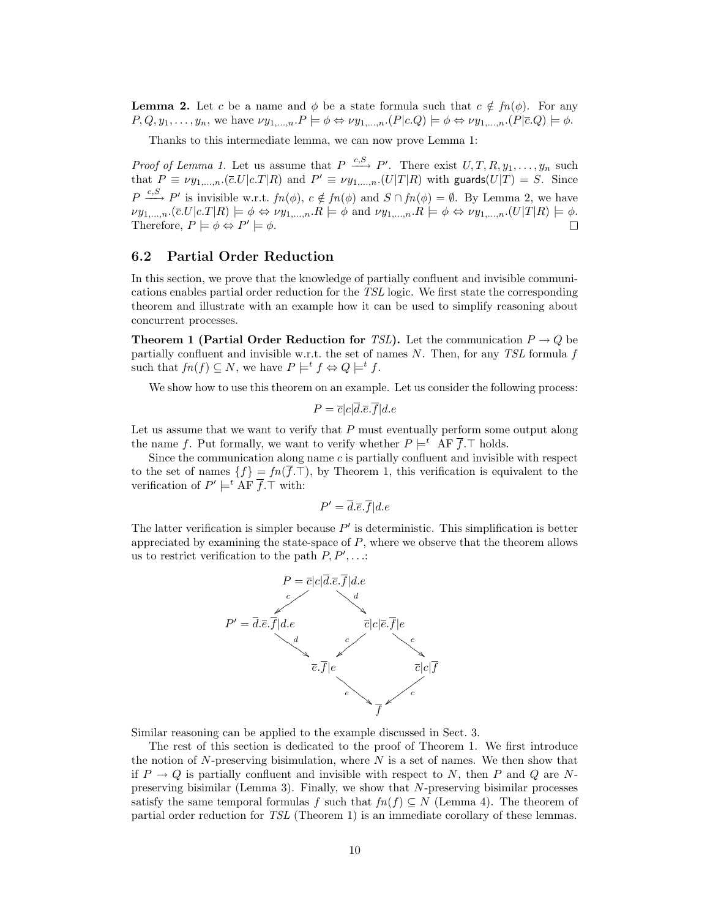**Lemma 2.** Let c be a name and  $\phi$  be a state formula such that  $c \notin fn(\phi)$ . For any  $P, Q, y_1, \ldots, y_n$ , we have  $\nu y_{1,\ldots,n} \cdot P \models \phi \Leftrightarrow \nu y_{1,\ldots,n} \cdot (P \mid c.Q) \models \phi \Leftrightarrow \nu y_{1,\ldots,n} \cdot (P \mid \overline{c}.Q) \models \phi$ .

Thanks to this intermediate lemma, we can now prove Lemma 1:

*Proof of Lemma 1.* Let us assume that  $P \xrightarrow{c,S} P'$ . There exist  $U, T, R, y_1, \ldots, y_n$  such that  $P \equiv \nu y_{1,\dots,n}$ .( $\bar{c}$ . $U|c$ . $T|R$ ) and  $P' \equiv \nu y_{1,\dots,n}$ .( $U|T|R$ ) with guards( $U|T$ ) = S. Since  $P \xrightarrow{c,S} P'$  is invisible w.r.t.  $fn(\phi), c \notin fn(\phi)$  and  $S \cap fn(\phi) = \emptyset$ . By Lemma 2, we have  $\nu y_{1,\dots,n}.\left(\overline{c}.\overline{U}|c.\overline{T}|R\right) \models \phi \Leftrightarrow \nu y_{1,\dots,n}.\overline{R} \models \phi \text{ and } \nu y_{1,\dots,n}.\overline{R} \models \phi \Leftrightarrow \nu y_{1,\dots,n}.\overline{(U|T|R)} \models \phi.$ Therefore,  $P \models \phi \Leftrightarrow P' \models \phi$ .

#### 6.2 Partial Order Reduction

In this section, we prove that the knowledge of partially confluent and invisible communications enables partial order reduction for the TSL logic. We first state the corresponding theorem and illustrate with an example how it can be used to simplify reasoning about concurrent processes.

**Theorem 1 (Partial Order Reduction for TSL).** Let the communication  $P \rightarrow Q$  be partially confluent and invisible w.r.t. the set of names  $N$ . Then, for any *TSL* formula  $f$ such that  $fn(f) \subseteq N$ , we have  $P \models^t f \Leftrightarrow Q \models^t f$ .

We show how to use this theorem on an example. Let us consider the following process:

$$
P = \overline{c}|c|\overline{d}.\overline{e}.\overline{f}|d.e
$$

Let us assume that we want to verify that P must eventually perform some output along the name f. Put formally, we want to verify whether  $P \models^t \mathsf{AF} \overline{f}$ . T holds.

Since the communication along name  $c$  is partially confluent and invisible with respect to the set of names  $\{f\} = fn(\overline{f},\mathcal{T})$ , by Theorem 1, this verification is equivalent to the verification of  $P' \models^t \Lambda \vdash \overline{f}$ . T with:

$$
P' = \overline{d}.\overline{e}.\overline{f}|d.e
$$

The latter verification is simpler because  $P'$  is deterministic. This simplification is better appreciated by examining the state-space of P, where we observe that the theorem allows us to restrict verification to the path  $P, P', \ldots$ :



Similar reasoning can be applied to the example discussed in Sect. 3.

The rest of this section is dedicated to the proof of Theorem 1. We first introduce the notion of  $N$ -preserving bisimulation, where  $N$  is a set of names. We then show that if  $P \to Q$  is partially confluent and invisible with respect to N, then P and Q are Npreserving bisimilar (Lemma 3). Finally, we show that N-preserving bisimilar processes satisfy the same temporal formulas f such that  $fn(f) \subseteq N$  (Lemma 4). The theorem of partial order reduction for TSL (Theorem 1) is an immediate corollary of these lemmas.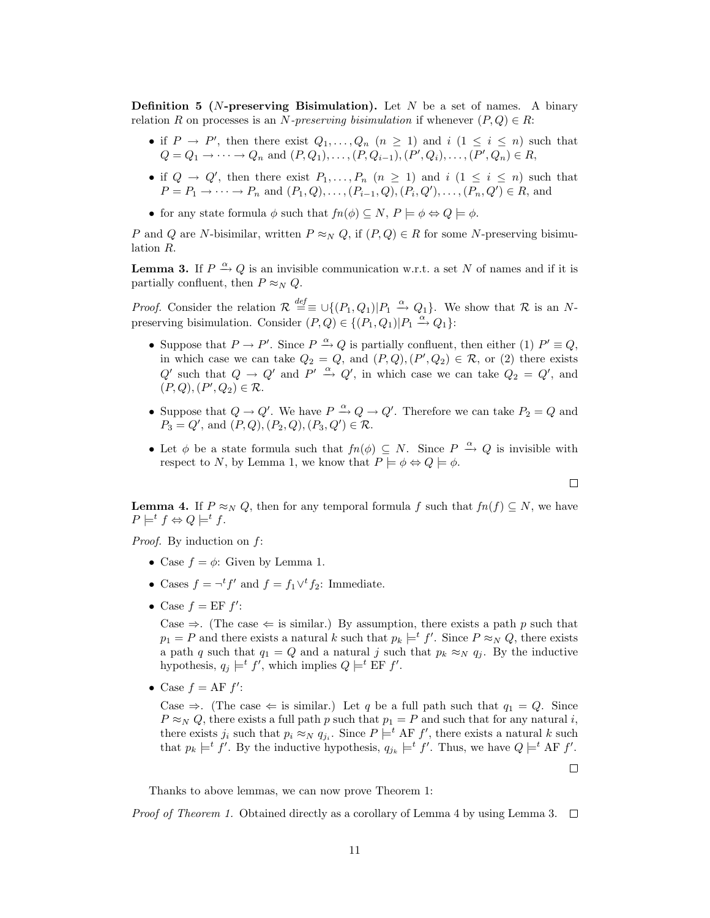**Definition 5** (*N*-preserving Bisimulation). Let  $N$  be a set of names. A binary relation R on processes is an N-preserving bisimulation if whenever  $(P,Q) \in R$ :

- if  $P \to P'$ , then there exist  $Q_1, \ldots, Q_n$   $(n \geq 1)$  and  $i$   $(1 \leq i \leq n)$  such that  $Q = Q_1 \to \cdots \to Q_n$  and  $(P, Q_1), \ldots, (P, Q_{i-1}), (P', Q_i), \ldots, (P', Q_n) \in R$ ,
- if  $Q \to Q'$ , then there exist  $P_1, \ldots, P_n$   $(n \geq 1)$  and  $i$   $(1 \leq i \leq n)$  such that  $P = P_1 \to \cdots \to P_n$  and  $(P_1, Q), \ldots, (P_{i-1}, Q), (P_i, Q'), \ldots, (P_n, Q') \in R$ , and
- for any state formula  $\phi$  such that  $fn(\phi) \subseteq N$ ,  $P \models \phi \Leftrightarrow Q \models \phi$ .

P and Q are N-bisimilar, written  $P \approx_N Q$ , if  $(P,Q) \in R$  for some N-preserving bisimulation R.

**Lemma 3.** If  $P \xrightarrow{\alpha} Q$  is an invisible communication w.r.t. a set N of names and if it is partially confluent, then  $P \approx_N Q$ .

*Proof.* Consider the relation  $\mathcal{R} \stackrel{def}{=} \cup \{(P_1, Q_1)|P_1 \stackrel{\alpha}{\to} Q_1\}$ . We show that  $\mathcal{R}$  is an Npreserving bisimulation. Consider  $(P,Q) \in \{(P_1,Q_1)|P_1 \stackrel{\alpha}{\to} Q_1\}$ :

- Suppose that  $P \to P'$ . Since  $P \xrightarrow{\alpha} Q$  is partially confluent, then either (1)  $P' \equiv Q$ , in which case we can take  $Q_2 = Q$ , and  $(P, Q), (P', Q_2) \in \mathcal{R}$ , or (2) there exists Q' such that  $Q \to Q'$  and  $P' \stackrel{\alpha}{\to} Q'$ , in which case we can take  $Q_2 = Q'$ , and  $(P, Q), (P', Q_2) \in \mathcal{R}.$
- Suppose that  $Q \to Q'$ . We have  $P \stackrel{\alpha}{\to} Q \to Q'$ . Therefore we can take  $P_2 = Q$  and  $P_3 = Q'$ , and  $(P, Q), (P_2, Q), (P_3, Q') \in \mathcal{R}$ .
- Let  $\phi$  be a state formula such that  $fn(\phi) \subseteq N$ . Since  $P \stackrel{\alpha}{\to} Q$  is invisible with respect to N, by Lemma 1, we know that  $P \models \phi \Leftrightarrow Q \models \phi$ .

**Lemma 4.** If  $P \approx_N Q$ , then for any temporal formula f such that  $fn(f) \subseteq N$ , we have  $P \models^t f \Leftrightarrow Q \models^t f$ .

Proof. By induction on  $f$ :

- Case  $f = \phi$ : Given by Lemma 1.
- Cases  $f = \neg^t f'$  and  $f = f_1 \vee^t f_2$ : Immediate.
- Case  $f = EF f'$ :

Case  $\Rightarrow$ . (The case  $\Leftarrow$  is similar.) By assumption, there exists a path p such that  $p_1 = P$  and there exists a natural k such that  $p_k \models^t f'$ . Since  $P \approx_N Q$ , there exists a path q such that  $q_1 = Q$  and a natural j such that  $p_k \approx_N q_j$ . By the inductive hypothesis,  $q_j \models^t f'$ , which implies  $Q \models^t \text{EF } f'$ .

• Case  $f = AF f'$ :

Case  $\Rightarrow$ . (The case  $\Leftarrow$  is similar.) Let q be a full path such that  $q_1 = Q$ . Since  $P \approx_N Q$ , there exists a full path p such that  $p_1 = P$  and such that for any natural i, there exists  $j_i$  such that  $p_i \approx_N q_{j_i}$ . Since  $P \models^t \text{AF } f'$ , there exists a natural k such that  $p_k \models^t f'$ . By the inductive hypothesis,  $q_{j_k} \models^t f'$ . Thus, we have  $Q \models^t AF f'$ .

Thanks to above lemmas, we can now prove Theorem 1:

*Proof of Theorem 1.* Obtained directly as a corollary of Lemma 4 by using Lemma 3.  $\Box$ 

 $\Box$ 

 $\Box$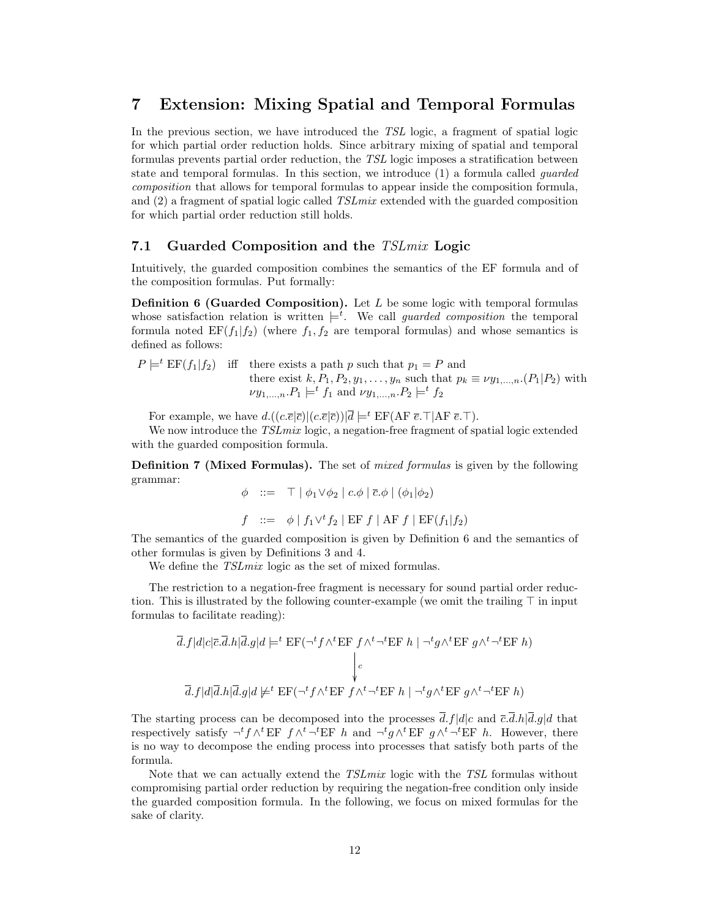### 7 Extension: Mixing Spatial and Temporal Formulas

In the previous section, we have introduced the TSL logic, a fragment of spatial logic for which partial order reduction holds. Since arbitrary mixing of spatial and temporal formulas prevents partial order reduction, the TSL logic imposes a stratification between state and temporal formulas. In this section, we introduce (1) a formula called guarded composition that allows for temporal formulas to appear inside the composition formula, and  $(2)$  a fragment of spatial logic called TSL mix extended with the guarded composition for which partial order reduction still holds.

#### 7.1 Guarded Composition and the TSLmix Logic

Intuitively, the guarded composition combines the semantics of the EF formula and of the composition formulas. Put formally:

Definition 6 (Guarded Composition). Let L be some logic with temporal formulas whose satisfaction relation is written  $\models^t$ . We call *guarded composition* the temporal formula noted  $EF(f_1|f_2)$  (where  $f_1, f_2$  are temporal formulas) and whose semantics is defined as follows:

 $P \models^t \text{EF}(f_1|f_2)$  iff there exists a path p such that  $p_1 = P$  and there exist  $k, P_1, P_2, y_1, \ldots, y_n$  such that  $p_k \equiv \nu y_{1,\ldots,n}$ .  $(P_1 | P_2)$  with  $\nu y_{1,\dots,n}.P_1 \models^t f_1 \text{ and } \nu y_{1,\dots,n}.P_2 \models^t f_2$ 

For example, we have  $d.((c.\overline{e}|\overline{c})|(c.\overline{e}|\overline{c}))|\overline{d} \models^t \text{EF}(A\overline{F} \ \overline{e}.\top|A\overline{F} \ \overline{e}.\top).$ 

We now introduce the TSL mix logic, a negation-free fragment of spatial logic extended with the guarded composition formula.

Definition 7 (Mixed Formulas). The set of mixed formulas is given by the following grammar:

$$
\phi \quad ::= \quad \top \mid \phi_1 \vee \phi_2 \mid c.\phi \mid \overline{c}.\phi \mid (\phi_1 | \phi_2)
$$

$$
f \ ::= \ \phi \mid f_1 \vee^t f_2 \mid \text{EF } f \mid \text{AF } f \mid \text{EF}(f_1 | f_2)
$$

The semantics of the guarded composition is given by Definition 6 and the semantics of other formulas is given by Definitions 3 and 4.

We define the  $TSLmix$  logic as the set of mixed formulas.

The restriction to a negation-free fragment is necessary for sound partial order reduction. This is illustrated by the following counter-example (we omit the trailing  $\top$  in input formulas to facilitate reading):

$$
\overline{d}.f|d|c|\overline{c}.\overline{d}.h|\overline{d}.g|d \models^t \text{EF}(\neg^t f \wedge^t \text{EF } f \wedge^t \neg^t \text{EF } h | \neg^t g \wedge^t \text{EF } g \wedge^t \neg^t \text{EF } h)
$$
\n
$$
\downarrow_c
$$
\n
$$
\overline{d}.f|d|\overline{d}.h|\overline{d}.g|d \not\models^t \text{EF}(\neg^t f \wedge^t \text{EF } f \wedge^t \neg^t \text{EF } h | \neg^t g \wedge^t \text{EF } g \wedge^t \neg^t \text{EF } h)
$$

The starting process can be decomposed into the processes  $\bar{d} f|d|c$  and  $\bar{c} \bar{d} h|\bar{d} g|d$  that respectively satisfy  $\neg^t f \wedge^t EF f \wedge^t \neg^t EF h$  and  $\neg^t g \wedge^t EF g \wedge^t \neg^t EF h$ . However, there is no way to decompose the ending process into processes that satisfy both parts of the formula.

Note that we can actually extend the *TSLmix* logic with the *TSL* formulas without compromising partial order reduction by requiring the negation-free condition only inside the guarded composition formula. In the following, we focus on mixed formulas for the sake of clarity.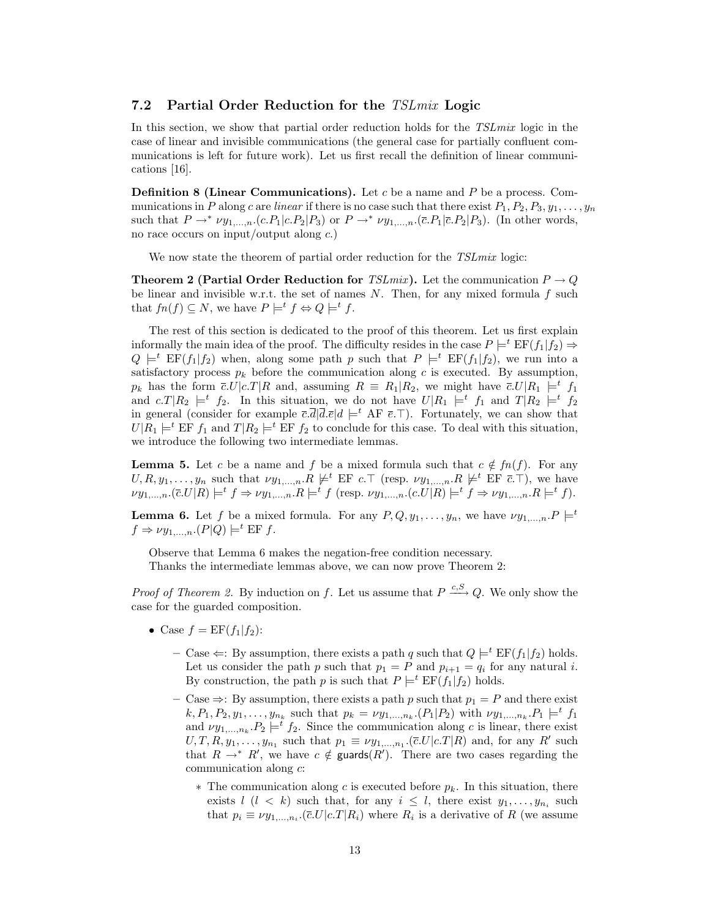#### 7.2 Partial Order Reduction for the TSLmix Logic

In this section, we show that partial order reduction holds for the *TSLmix* logic in the case of linear and invisible communications (the general case for partially confluent communications is left for future work). Let us first recall the definition of linear communications [16].

**Definition 8 (Linear Communications).** Let c be a name and P be a process. Communications in P along c are linear if there is no case such that there exist  $P_1, P_2, P_3, y_1, \ldots, y_n$ such that  $P \to^* \nu y_{1,\dots,n}$ .  $(c.P_1|c.P_2|P_3)$  or  $P \to^* \nu y_{1,\dots,n}$ .  $(\bar{c}.P_1|\bar{c}.P_2|P_3)$ . (In other words, no race occurs on input/output along c.)

We now state the theorem of partial order reduction for the TSL mix logic:

**Theorem 2 (Partial Order Reduction for** TSLmix). Let the communication  $P \rightarrow Q$ be linear and invisible w.r.t. the set of names  $N$ . Then, for any mixed formula  $f$  such that  $fn(f) \subseteq N$ , we have  $P \models^t f \Leftrightarrow Q \models^t f$ .

The rest of this section is dedicated to the proof of this theorem. Let us first explain informally the main idea of the proof. The difficulty resides in the case  $P \models^t \text{EF}(f_1|f_2) \Rightarrow$  $Q \models^t \text{EF}(f_1|f_2)$  when, along some path p such that  $P \models^t \text{EF}(f_1|f_2)$ , we run into a satisfactory process  $p_k$  before the communication along c is executed. By assumption,  $p_k$  has the form  $\bar{c}U|c.T|R$  and, assuming  $R = R_1|R_2$ , we might have  $\bar{c}U|R_1 \models^t f_1$ and  $c.T|R_2 \models^t f_2$ . In this situation, we do not have  $U|R_1 \models^t f_1$  and  $T|R_2 \models^t f_2$ in general (consider for example  $\overline{c}.\overline{d}|\overline{d}.\overline{e}|d \models^t AF \overline{e}.\top$ ). Fortunately, we can show that  $U|R_1 \models^t \text{EF } f_1$  and  $T|R_2 \models^t \text{EF } f_2$  to conclude for this case. To deal with this situation, we introduce the following two intermediate lemmas.

**Lemma 5.** Let c be a name and f be a mixed formula such that  $c \notin fn(f)$ . For any  $U, R, y_1, \ldots, y_n$  such that  $\nu y_{1,\ldots,n}.R \not\models^t \text{EF } c.\top$  (resp.  $\nu y_{1,\ldots,n}.R \not\models^t \text{EF } \overline{c}.\top$ ), we have  $\nu y_{1,\dots,n}.\left(\overline{c}U|R\right) \models^{t} f \Rightarrow \nu y_{1,\dots,n}.R \models^{t} f \text{ (resp. } \nu y_{1,\dots,n}.\left(c.U|R\right) \models^{t} f \Rightarrow \nu y_{1,\dots,n}.R \models^{t} f\text{)}.$ 

**Lemma 6.** Let f be a mixed formula. For any  $P, Q, y_1, \ldots, y_n$ , we have  $\nu y_{1,\ldots,n}$ .  $P \models^t$  $f \Rightarrow \nu y_{1,\dots,n}$ .  $(P|Q) \models^t \text{EF } f$ .

Observe that Lemma 6 makes the negation-free condition necessary.

Thanks the intermediate lemmas above, we can now prove Theorem 2:

*Proof of Theorem 2.* By induction on f. Let us assume that  $P \xrightarrow{c, S} Q$ . We only show the case for the guarded composition.

- Case  $f = EF(f_1|f_2)$ :
	- Case  $\Leftarrow$ : By assumption, there exists a path q such that  $Q \models^t \text{EF}(f_1|f_2)$  holds. Let us consider the path p such that  $p_1 = P$  and  $p_{i+1} = q_i$  for any natural i. By construction, the path p is such that  $P \models^t \text{EF}(f_1|f_2)$  holds.
	- Case  $\Rightarrow$ : By assumption, there exists a path p such that  $p_1 = P$  and there exist  $k, P_1, P_2, y_1, \ldots, y_{n_k}$  such that  $p_k = \nu y_{1,\ldots,n_k}$ .  $(P_1 | P_2)$  with  $\nu y_{1,\ldots,n_k}$ .  $P_1 \models^t f_1$ and  $\nu y_{1,\dots,n_k} P_2 \models^t f_2$ . Since the communication along c is linear, there exist  $U, T, R, y_1, \ldots, y_{n_1}$  such that  $p_1 \equiv \nu y_{1,\ldots,n_1}$ . ( $\overline{c}.U|c.T|R$ ) and, for any R' such that  $R \to^* R'$ , we have  $c \notin \text{guards}(R')$ . There are two cases regarding the communication along c:
		- $∗$  The communication along c is executed before  $p_k$ . In this situation, there exists  $l$  ( $l$  < k) such that, for any  $i \leq l$ , there exist  $y_1, \ldots, y_{n_i}$  such that  $p_i \equiv \nu y_{1,\dots,n_i}$  ( $\overline{c}$ . $U|c$ . $T|R_i$ ) where  $R_i$  is a derivative of  $R$  (we assume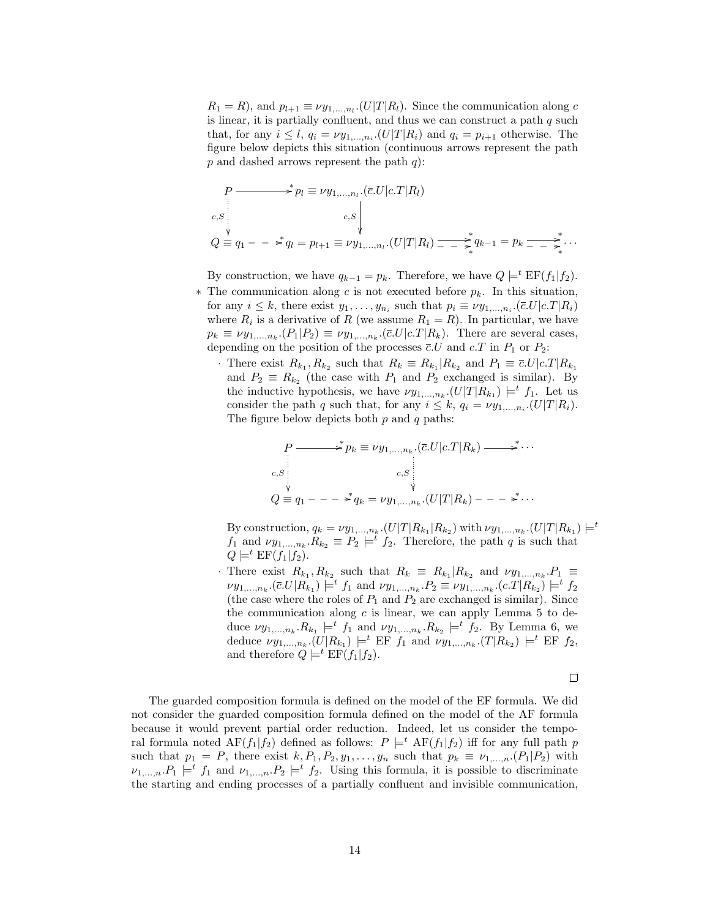$R_1 = R$ , and  $p_{l+1} \equiv \nu y_{1,\dots,n_l}$ . (U|T|R<sub>l</sub>). Since the communication along c is linear, it is partially confluent, and thus we can construct a path  $q$  such that, for any  $i \leq l$ ,  $q_i = \nu y_{1,\dots,n_i}$ .  $(U|T|R_i)$  and  $q_i = p_{i+1}$  otherwise. The figure below depicts this situation (continuous arrows represent the path p and dashed arrows represent the path  $q$ ):

$$
P \longrightarrow^{*} p_{l} \equiv \nu y_{1,...,n_{l}} \cdot (\bar{c}U|c.T|R_{l})
$$
  
\n
$$
c, S \downarrow
$$
  
\n
$$
Q \equiv q_{1} - \frac{*}{q_{l}} = p_{l+1} \equiv \nu y_{1,...,n_{l}} \cdot (U|T|R_{l}) \frac{*}{1 - \frac{*}{q_{k}}} q_{k-1} = p_{k} \frac{*}{1 - \frac{*}{q_{k}}} \cdots
$$

By construction, we have  $q_{k-1} = p_k$ . Therefore, we have  $Q \models^t \text{EF}(f_1|f_2)$ .

- ∗ The communication along c is not executed before pk. In this situation, for any  $i \leq k$ , there exist  $y_1, \ldots, y_{n_i}$  such that  $p_i \equiv \nu y_{1,\ldots,n_i}$ .  $(\bar{c}U|c.T|R_i)$ where  $R_i$  is a derivative of R (we assume  $R_1 = R$ ). In particular, we have  $p_k \equiv \nu y_{1,\dots,n_k}$ .  $(P_1|P_2) \equiv \nu y_{1,\dots,n_k}$ .  $(\bar{c}U|c.T|R_k)$ . There are several cases, depending on the position of the processes  $\overline{c}$ .U and  $c$ .T in  $P_1$  or  $P_2$ :
	- · There exist  $R_{k_1}, R_{k_2}$  such that  $R_k \equiv R_{k_1} | R_{k_2}$  and  $P_1 \equiv \overline{c} U | c.T | R_{k_1}$ and  $P_2 \equiv R_{k_2}$  (the case with  $P_1$  and  $P_2$  exchanged is similar). By the inductive hypothesis, we have  $\nu y_{1,\dots,n_k}$ .  $(U|T|R_{k_1}) \models^t f_1$ . Let us consider the path q such that, for any  $i \leq k$ ,  $q_i = \nu y_{1,\dots,n_i}$ .  $(U|T|R_i)$ . The figure below depicts both  $p$  and  $q$  paths:

$$
P \longrightarrow^* p_k \equiv \nu y_{1,\dots,n_k} \cdot (\overline{c} \cdot U | c \cdot T | R_k) \longrightarrow^* \cdots
$$
  
\n
$$
c, S \downarrow c, S \downarrow
$$
  
\n
$$
Q \equiv q_1 - \dots \Rightarrow^* q_k = \nu y_{1,\dots,n_k} \cdot (U | T | R_k) - \dots \Rightarrow^* \cdots
$$

By construction,  $q_k = \nu y_{1,\dots,n_k}$ .  $(U|T|R_{k_1}|R_{k_2})$  with  $\nu y_{1,\dots,n_k}$ .  $(U|T|R_{k_1}) \models^t$  $f_1$  and  $\nu y_{1,\dots,n_k} R_{k_2} \equiv P_2 \models^t f_2$ . Therefore, the path q is such that  $Q \models^t \text{EF}(f_1|f_2).$ 

· There exist  $R_{k_1}, R_{k_2}$  such that  $R_k \equiv R_{k_1} | R_{k_2}$  and  $\nu y_{1,...,n_k} . P_1 \equiv$  $\nu y_{1,...,n_k}$ .  $(\bar{c}U|R_{k_1}) \models^t f_1$  and  $\nu y_{1,...,n_k}$ .  $P_2 \equiv \nu y_{1,...,n_k}$ .  $(c.T|R_{k_2}) \models^t f_2$ (the case where the roles of  $P_1$  and  $P_2$  are exchanged is similar). Since the communication along  $c$  is linear, we can apply Lemma  $5$  to deduce  $\nu y_{1,\dots,n_k}.R_{k_1} \models^t f_1$  and  $\nu y_{1,\dots,n_k}.R_{k_2} \models^t f_2$ . By Lemma 6, we deduce  $\nu y_{1,...,n_k}.(U|R_{k_1}) \models^t \text{EF } f_1 \text{ and } \nu y_{1,...,n_k}.(T|R_{k_2}) \models^t \text{EF } f_2,$ and therefore  $Q \models^t \text{EF}(f_1|f_2)$ .

$$
\qquad \qquad \Box
$$

The guarded composition formula is defined on the model of the EF formula. We did not consider the guarded composition formula defined on the model of the AF formula because it would prevent partial order reduction. Indeed, let us consider the temporal formula noted  $\text{AF}(f_1|f_2)$  defined as follows:  $P \models^t \text{AF}(f_1|f_2)$  iff for any full path p such that  $p_1 = P$ , there exist  $k, P_1, P_2, y_1, \ldots, y_n$  such that  $p_k \equiv \nu_{1,\ldots,n}$ .  $(P_1|P_2)$  with  $\nu_{1,\dots,n}.P_1 \models^t f_1$  and  $\nu_{1,\dots,n}.P_2 \models^t f_2$ . Using this formula, it is possible to discriminate the starting and ending processes of a partially confluent and invisible communication,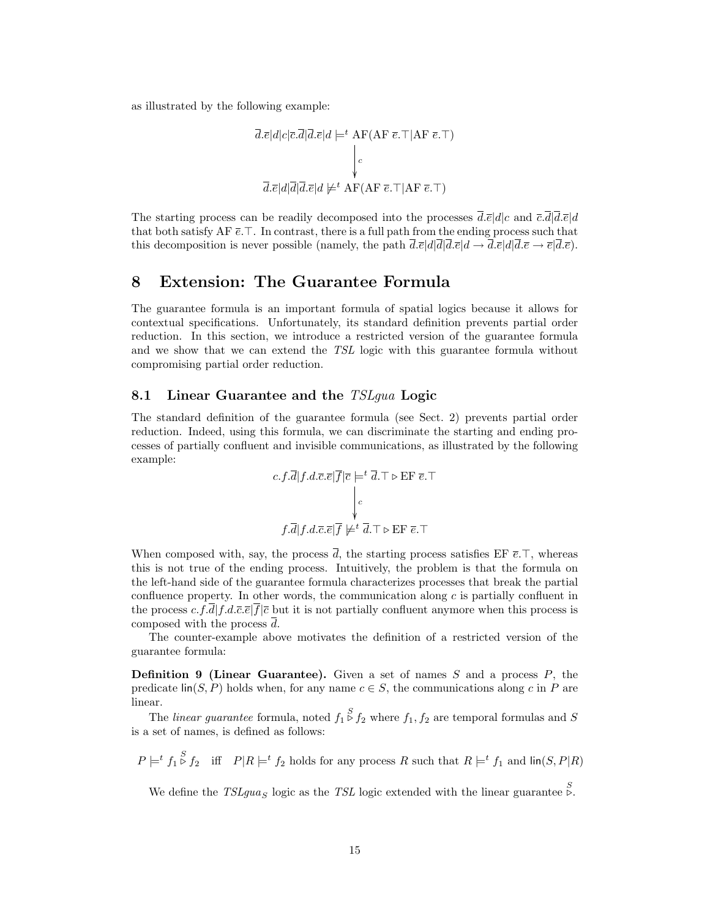as illustrated by the following example:

$$
\overline{d}.\overline{e}|d|c|\overline{c}.\overline{d}|\overline{d}.\overline{e}|d \models^t \text{AF}(A\overline{F} \ \overline{e}.\top |AF \ \overline{e}.\top)
$$
\n
$$
\downarrow_c
$$
\n
$$
\overline{d}.\overline{e}|d|\overline{d}|\overline{d}.\overline{e}|d \not\models^t \text{AF}(AF \ \overline{e}.\top |AF \ \overline{e}.\top)
$$

The starting process can be readily decomposed into the processes  $\overline{d}.\overline{e}|d|c$  and  $\overline{c}.\overline{d}|\overline{d}.\overline{e}|d$ that both satisfy AF  $\bar{e}$ . In contrast, there is a full path from the ending process such that this decomposition is never possible (namely, the path  $\overline{d}.\overline{e}|\overline{d}|\overline{d}.\overline{e}|\overline{d} \rightarrow \overline{d}.\overline{e}|\overline{d}.\overline{e} \rightarrow \overline{e}|\overline{d}.\overline{e}$ ).

### 8 Extension: The Guarantee Formula

The guarantee formula is an important formula of spatial logics because it allows for contextual specifications. Unfortunately, its standard definition prevents partial order reduction. In this section, we introduce a restricted version of the guarantee formula and we show that we can extend the TSL logic with this guarantee formula without compromising partial order reduction.

#### 8.1 Linear Guarantee and the TSLqua Logic

The standard definition of the guarantee formula (see Sect. 2) prevents partial order reduction. Indeed, using this formula, we can discriminate the starting and ending processes of partially confluent and invisible communications, as illustrated by the following example:

$$
c.f.\overline{d}|f.d.\overline{c}.\overline{e}|\overline{f}|\overline{c} \models^t \overline{d}.\top \triangleright \text{EF }\overline{e}.\top
$$

$$
\downarrow c
$$

$$
f.\overline{d}|f.d.\overline{c}.\overline{e}|\overline{f} \not\models^t \overline{d}.\top \triangleright \text{EF }\overline{e}.\top
$$

When composed with, say, the process  $\overline{d}$ , the starting process satisfies EF  $\overline{e}.\overline{\cdot}$ , whereas this is not true of the ending process. Intuitively, the problem is that the formula on the left-hand side of the guarantee formula characterizes processes that break the partial confluence property. In other words, the communication along  $c$  is partially confluent in the process  $c.f.d|f.d.\overline{c}.\overline{e}|f|\overline{c}$  but it is not partially confluent anymore when this process is composed with the process d.

The counter-example above motivates the definition of a restricted version of the guarantee formula:

**Definition 9 (Linear Guarantee).** Given a set of names  $S$  and a process  $P$ , the predicate  $\text{lin}(S, P)$  holds when, for any name  $c \in S$ , the communications along c in P are linear.

The *linear guarantee* formula, noted  $f_1 \overset{S}{\triangleright} f_2$  where  $f_1, f_2$  are temporal formulas and S is a set of names, is defined as follows:

 $P \models^t f_1 \stackrel{S}{\triangleright} f_2$  iff  $P | R \models^t f_2$  holds for any process R such that  $R \models^t f_1$  and  $\text{lin}(S, P | R)$ 

We define the  $TSLgua_S$  logic as the TSL logic extended with the linear guarantee  $\stackrel{S}{\triangleright}$ .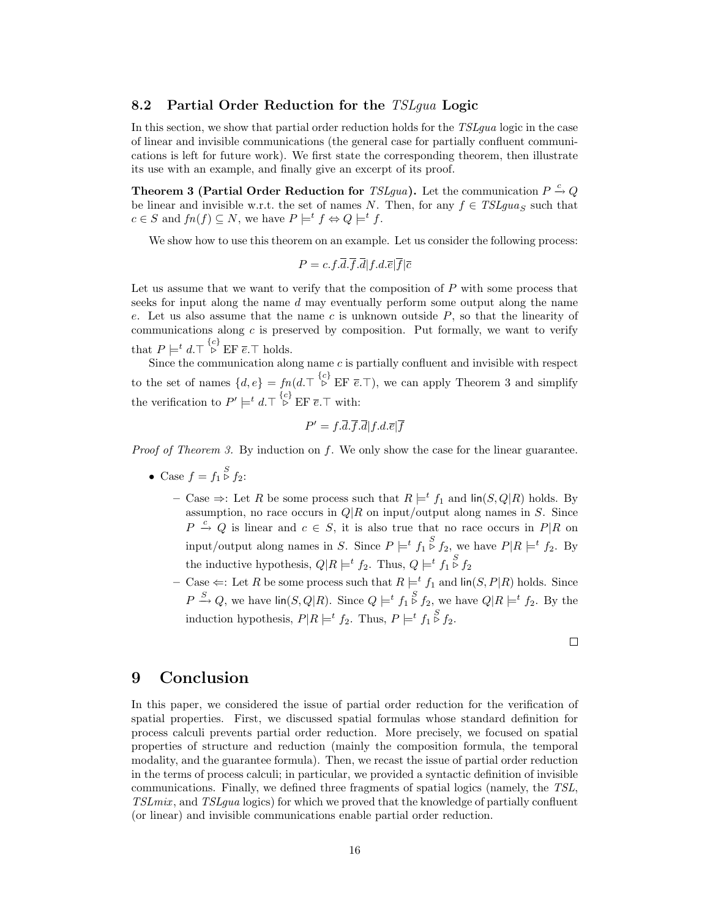#### 8.2 Partial Order Reduction for the TSLgua Logic

In this section, we show that partial order reduction holds for the TSLgua logic in the case of linear and invisible communications (the general case for partially confluent communications is left for future work). We first state the corresponding theorem, then illustrate its use with an example, and finally give an excerpt of its proof.

Theorem 3 (Partial Order Reduction for *TSLgua*). Let the communication  $P \stackrel{c}{\rightarrow} Q$ be linear and invisible w.r.t. the set of names N. Then, for any  $f \in TSLgua_s$  such that  $c \in S$  and  $fn(f) \subseteq N$ , we have  $P \models^t f \Leftrightarrow Q \models^t f$ .

We show how to use this theorem on an example. Let us consider the following process:

$$
P = c.f.\overline{d}.\overline{f}.\overline{d}|f.d.\overline{e}|\overline{f}|\overline{c}
$$

Let us assume that we want to verify that the composition of P with some process that seeks for input along the name d may eventually perform some output along the name e. Let us also assume that the name  $c$  is unknown outside  $P$ , so that the linearity of communications along  $c$  is preserved by composition. Put formally, we want to verify that  $P \models^t d.\top \stackrel{\{c\}}{\triangleright} \text{EF } \overline{e}.\top \text{ holds.}$ 

Since the communication along name  $c$  is partially confluent and invisible with respect to the set of names  $\{d, e\} = fn(d.\top \stackrel{\{c\}}{\triangleright} \text{EF }\bar{e}.\top)$ , we can apply Theorem 3 and simplify the verification to  $P' \models^t d. \top \stackrel{\{c\}}{\triangleright} \text{EF } \overline{e}.\top \text{ with:}$ 

$$
P' = f.\overline{d}.\overline{f}.\overline{d}|f.d.\overline{e}|\overline{f}
$$

Proof of Theorem 3. By induction on f. We only show the case for the linear guarantee.

- Case  $f = f_1 \overset{S}{\triangleright} f_2$ :
	- Case  $\Rightarrow$ : Let R be some process such that  $R \models^t f_1$  and lin(S, Q|R) holds. By assumption, no race occurs in  $Q/R$  on input/output along names in S. Since  $P \stackrel{c}{\rightarrow} Q$  is linear and  $c \in S$ , it is also true that no race occurs in  $P|R$  on input/output along names in S. Since  $P \models^t f_1 \stackrel{S}{\triangleright} f_2$ , we have  $P|R \models^t f_2$ . By the inductive hypothesis,  $Q|R \models^{t} f_2$ . Thus,  $Q \models^{t} f_1 \overset{S}{\triangleright} f_2$
	- Case  $\Leftarrow$ : Let R be some process such that  $R \models^t f_1$  and  $\text{lin}(S, P | R)$  holds. Since  $P \stackrel{S}{\rightarrow} Q$ , we have  $\text{lin}(S, Q | R)$ . Since  $Q \models^t f_1 \stackrel{S}{\triangleright} f_2$ , we have  $Q | R \models^t f_2$ . By the induction hypothesis,  $P|R \models^t f_2$ . Thus,  $P \models^t f_1 \overset{S}{\triangleright} f_2$ .

## 9 Conclusion

In this paper, we considered the issue of partial order reduction for the verification of spatial properties. First, we discussed spatial formulas whose standard definition for process calculi prevents partial order reduction. More precisely, we focused on spatial properties of structure and reduction (mainly the composition formula, the temporal modality, and the guarantee formula). Then, we recast the issue of partial order reduction in the terms of process calculi; in particular, we provided a syntactic definition of invisible communications. Finally, we defined three fragments of spatial logics (namely, the TSL, TSLmix , and TSLgua logics) for which we proved that the knowledge of partially confluent (or linear) and invisible communications enable partial order reduction.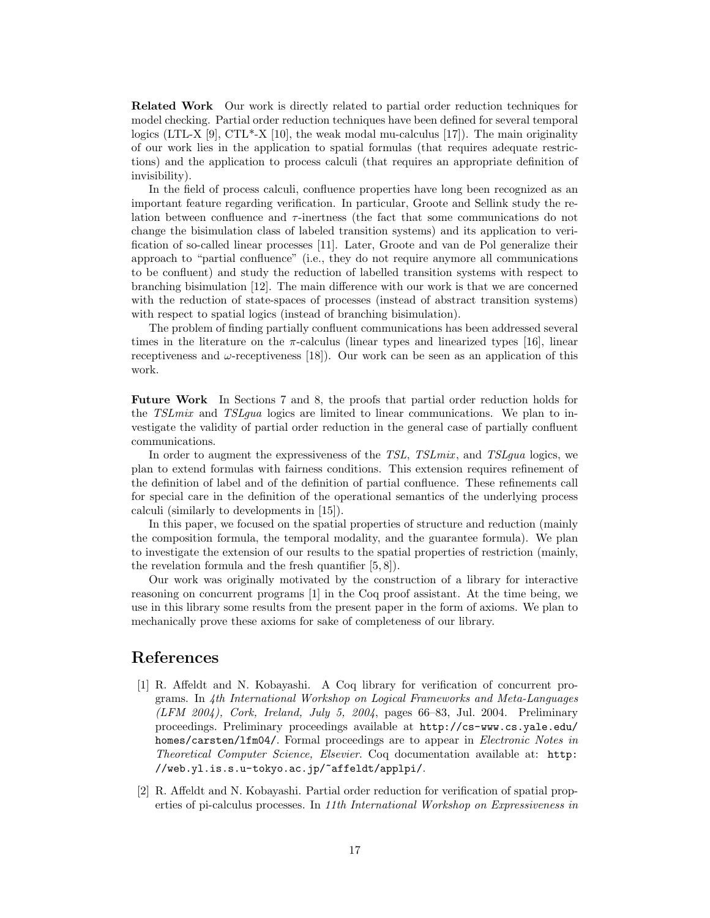Related Work Our work is directly related to partial order reduction techniques for model checking. Partial order reduction techniques have been defined for several temporal logics (LTL-X [9], CTL\*-X [10], the weak modal mu-calculus [17]). The main originality of our work lies in the application to spatial formulas (that requires adequate restrictions) and the application to process calculi (that requires an appropriate definition of invisibility).

In the field of process calculi, confluence properties have long been recognized as an important feature regarding verification. In particular, Groote and Sellink study the relation between confluence and  $\tau$ -inertness (the fact that some communications do not change the bisimulation class of labeled transition systems) and its application to verification of so-called linear processes [11]. Later, Groote and van de Pol generalize their approach to "partial confluence" (i.e., they do not require anymore all communications to be confluent) and study the reduction of labelled transition systems with respect to branching bisimulation [12]. The main difference with our work is that we are concerned with the reduction of state-spaces of processes (instead of abstract transition systems) with respect to spatial logics (instead of branching bisimulation).

The problem of finding partially confluent communications has been addressed several times in the literature on the  $\pi$ -calculus (linear types and linearized types [16], linear receptiveness and  $\omega$ -receptiveness [18]). Our work can be seen as an application of this work.

Future Work In Sections 7 and 8, the proofs that partial order reduction holds for the TSLmix and TSLgua logics are limited to linear communications. We plan to investigate the validity of partial order reduction in the general case of partially confluent communications.

In order to augment the expressiveness of the *TSL*, *TSLmix*, and *TSLqua* logics, we plan to extend formulas with fairness conditions. This extension requires refinement of the definition of label and of the definition of partial confluence. These refinements call for special care in the definition of the operational semantics of the underlying process calculi (similarly to developments in [15]).

In this paper, we focused on the spatial properties of structure and reduction (mainly the composition formula, the temporal modality, and the guarantee formula). We plan to investigate the extension of our results to the spatial properties of restriction (mainly, the revelation formula and the fresh quantifier [5, 8]).

Our work was originally motivated by the construction of a library for interactive reasoning on concurrent programs [1] in the Coq proof assistant. At the time being, we use in this library some results from the present paper in the form of axioms. We plan to mechanically prove these axioms for sake of completeness of our library.

### References

- [1] R. Affeldt and N. Kobayashi. A Coq library for verification of concurrent programs. In 4th International Workshop on Logical Frameworks and Meta-Languages (LFM 2004), Cork, Ireland, July 5, 2004, pages 66–83, Jul. 2004. Preliminary proceedings. Preliminary proceedings available at http://cs-www.cs.yale.edu/ homes/carsten/lfm04/. Formal proceedings are to appear in Electronic Notes in Theoretical Computer Science, Elsevier. Coq documentation available at: http: //web.yl.is.s.u-tokyo.ac.jp/~affeldt/applpi/.
- [2] R. Affeldt and N. Kobayashi. Partial order reduction for verification of spatial properties of pi-calculus processes. In 11th International Workshop on Expressiveness in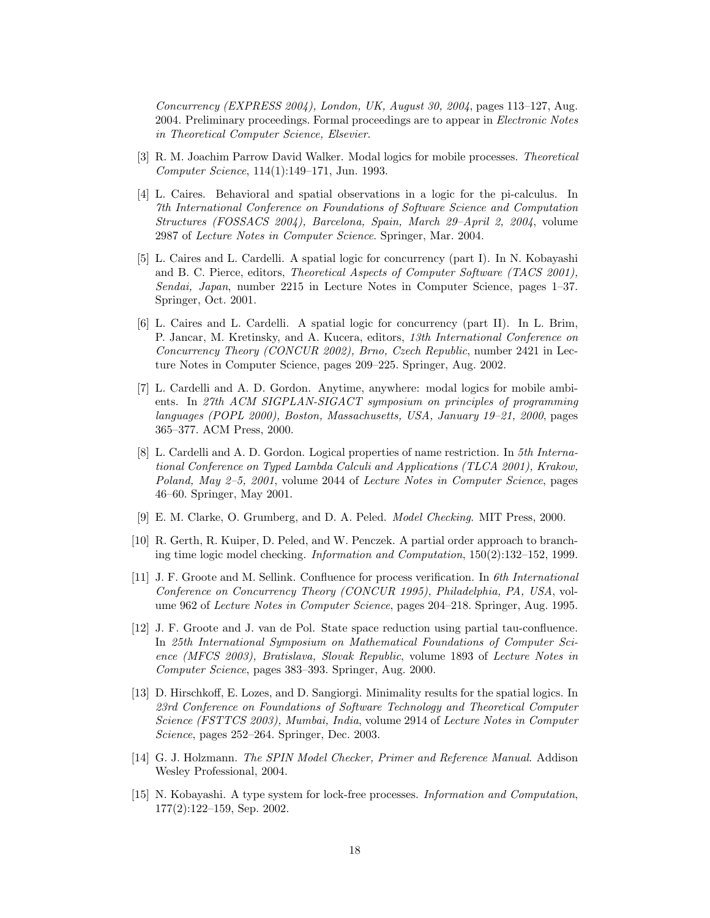Concurrency (EXPRESS 2004), London, UK, August 30, 2004, pages 113–127, Aug. 2004. Preliminary proceedings. Formal proceedings are to appear in Electronic Notes in Theoretical Computer Science, Elsevier.

- [3] R. M. Joachim Parrow David Walker. Modal logics for mobile processes. Theoretical Computer Science, 114(1):149–171, Jun. 1993.
- [4] L. Caires. Behavioral and spatial observations in a logic for the pi-calculus. In 7th International Conference on Foundations of Software Science and Computation Structures (FOSSACS 2004), Barcelona, Spain, March 29–April 2, 2004, volume 2987 of Lecture Notes in Computer Science. Springer, Mar. 2004.
- [5] L. Caires and L. Cardelli. A spatial logic for concurrency (part I). In N. Kobayashi and B. C. Pierce, editors, Theoretical Aspects of Computer Software (TACS 2001), Sendai, Japan, number 2215 in Lecture Notes in Computer Science, pages 1–37. Springer, Oct. 2001.
- [6] L. Caires and L. Cardelli. A spatial logic for concurrency (part II). In L. Brim, P. Jancar, M. Kretinsky, and A. Kucera, editors, 13th International Conference on Concurrency Theory (CONCUR 2002), Brno, Czech Republic, number 2421 in Lecture Notes in Computer Science, pages 209–225. Springer, Aug. 2002.
- [7] L. Cardelli and A. D. Gordon. Anytime, anywhere: modal logics for mobile ambients. In 27th ACM SIGPLAN-SIGACT symposium on principles of programming languages (POPL 2000), Boston, Massachusetts, USA, January 19–21, 2000, pages 365–377. ACM Press, 2000.
- [8] L. Cardelli and A. D. Gordon. Logical properties of name restriction. In 5th International Conference on Typed Lambda Calculi and Applications (TLCA 2001), Krakow, Poland, May 2–5, 2001, volume 2044 of Lecture Notes in Computer Science, pages 46–60. Springer, May 2001.
- [9] E. M. Clarke, O. Grumberg, and D. A. Peled. Model Checking. MIT Press, 2000.
- [10] R. Gerth, R. Kuiper, D. Peled, and W. Penczek. A partial order approach to branching time logic model checking. Information and Computation, 150(2):132–152, 1999.
- [11] J. F. Groote and M. Sellink. Confluence for process verification. In 6th International Conference on Concurrency Theory (CONCUR 1995), Philadelphia, PA, USA, volume 962 of Lecture Notes in Computer Science, pages 204–218. Springer, Aug. 1995.
- [12] J. F. Groote and J. van de Pol. State space reduction using partial tau-confluence. In 25th International Symposium on Mathematical Foundations of Computer Science (MFCS 2003), Bratislava, Slovak Republic, volume 1893 of Lecture Notes in Computer Science, pages 383–393. Springer, Aug. 2000.
- [13] D. Hirschkoff, E. Lozes, and D. Sangiorgi. Minimality results for the spatial logics. In 23rd Conference on Foundations of Software Technology and Theoretical Computer Science (FSTTCS 2003), Mumbai, India, volume 2914 of Lecture Notes in Computer Science, pages 252–264. Springer, Dec. 2003.
- [14] G. J. Holzmann. The SPIN Model Checker, Primer and Reference Manual. Addison Wesley Professional, 2004.
- [15] N. Kobayashi. A type system for lock-free processes. Information and Computation, 177(2):122–159, Sep. 2002.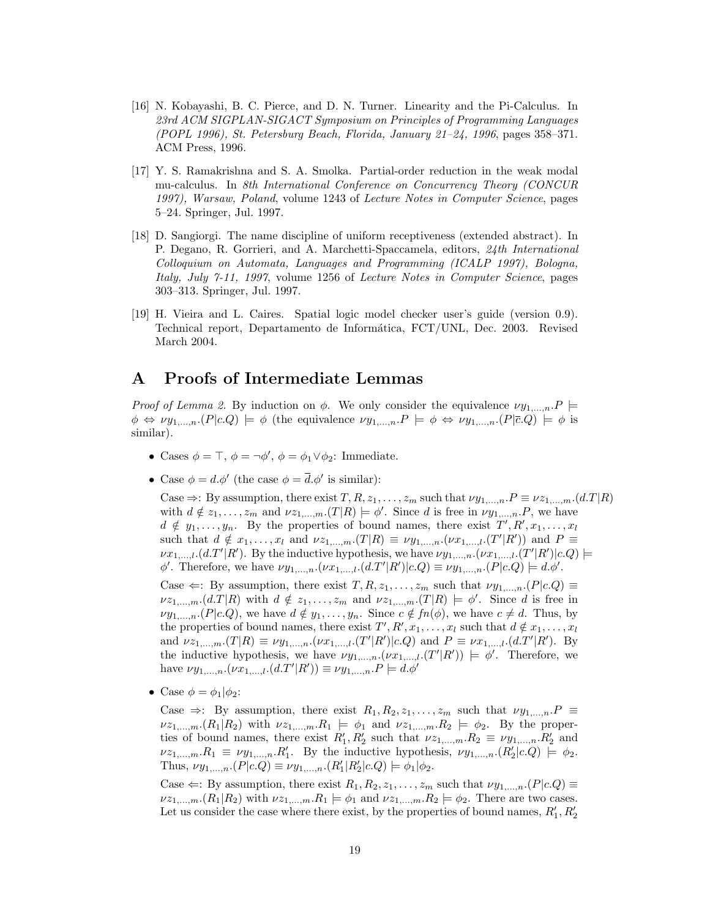- [16] N. Kobayashi, B. C. Pierce, and D. N. Turner. Linearity and the Pi-Calculus. In 23rd ACM SIGPLAN-SIGACT Symposium on Principles of Programming Languages (POPL 1996), St. Petersburg Beach, Florida, January 21–24, 1996, pages 358–371. ACM Press, 1996.
- [17] Y. S. Ramakrishna and S. A. Smolka. Partial-order reduction in the weak modal mu-calculus. In 8th International Conference on Concurrency Theory (CONCUR 1997), Warsaw, Poland, volume 1243 of Lecture Notes in Computer Science, pages 5–24. Springer, Jul. 1997.
- [18] D. Sangiorgi. The name discipline of uniform receptiveness (extended abstract). In P. Degano, R. Gorrieri, and A. Marchetti-Spaccamela, editors, 24th International Colloquium on Automata, Languages and Programming (ICALP 1997), Bologna, Italy, July 7-11, 1997, volume 1256 of Lecture Notes in Computer Science, pages 303–313. Springer, Jul. 1997.
- [19] H. Vieira and L. Caires. Spatial logic model checker user's guide (version 0.9). Technical report, Departamento de Informática, FCT/UNL, Dec. 2003. Revised March 2004.

## A Proofs of Intermediate Lemmas

Proof of Lemma 2. By induction on  $\phi$ . We only consider the equivalence  $\nu y_{1,...,n}.P \models$  $\phi \Leftrightarrow \nu y_{1,\dots,n}$ .  $(P|c,Q) \models \phi$  (the equivalence  $\nu y_{1,\dots,n}$ .  $P \models \phi \Leftrightarrow \nu y_{1,\dots,n}$ .  $(P|\bar{c},Q) \models \phi$  is similar).

- Cases  $\phi = \top$ ,  $\phi = \neg \phi'$ ,  $\phi = \phi_1 \lor \phi_2$ : Immediate.
- Case  $\phi = d.\phi'$  (the case  $\phi = \overline{d}.\phi'$  is similar):

Case  $\Rightarrow$ : By assumption, there exist  $T, R, z_1, \ldots, z_m$  such that  $\nu y_1, \ldots, n$ .  $P \equiv \nu z_1, \ldots, n$ .  $(d.T|R)$ with  $d \notin z_1, \ldots, z_m$  and  $\nu z_{1,\ldots,m}$ .  $(T|R) \models \phi'$ . Since d is free in  $\nu y_{1,\ldots,n}$ . P, we have  $d \notin y_1, \ldots, y_n$ . By the properties of bound names, there exist  $T', R', x_1, \ldots, x_l$ such that  $d \notin x_1, \ldots, x_l$  and  $\nu z_{1,\ldots,m}$ .  $(T|R) \equiv \nu y_{1,\ldots,n}$ .  $(\nu x_{1,\ldots,l}$ .  $(T'|R')$  and  $P \equiv$  $\nu x_{1,\dots,l}$ . (d.T'|R'). By the inductive hypothesis, we have  $\nu y_{1,\dots,n}$ .  $(\nu x_{1,\dots,l}$ .  $(T'|R')|c.Q)$   $\models$  $\phi'$ . Therefore, we have  $\nu y_{1,\dots,n}$ .  $(\nu x_{1,\dots,l}.(d.T'|R')|c.Q) \equiv \nu y_{1,\dots,n}$ .  $(P|c.Q) \models d.\phi'.$ 

Case  $\Leftarrow$ : By assumption, there exist  $T, R, z_1, \ldots, z_m$  such that  $\nu y_{1,\ldots,n}$ .  $(P|c.Q) \equiv$  $\nu z_{1,\dots,m}.(d.T|R)$  with  $d \notin z_1,\dots,z_m$  and  $\nu z_{1,\dots,m}.(T|R) \models \phi'$ . Since d is free in  $\nu y_{1,\ldots,n}$  (P|c.Q), we have  $d \notin y_1, \ldots, y_n$ . Since  $c \notin fn(\phi)$ , we have  $c \neq d$ . Thus, by the properties of bound names, there exist  $T', R', x_1, \ldots, x_l$  such that  $d \notin x_1, \ldots, x_l$ and  $\nu z_{1,...,m}$ .  $(T|R) \equiv \nu y_{1,...,n}$ .  $(\nu x_{1,...,l}$ .  $(T'|R')|c.Q)$  and  $P \equiv \nu x_{1,...,l}$ .  $(d.T'|R')$ . By the inductive hypothesis, we have  $\nu y_{1,\dots,n}(\nu x_{1,\dots,l}.(T' | R')) \models \phi'.$  Therefore, we have  $\nu y_{1,...,n}$ .  $(\nu x_{1,...,l}.(d.T'|R')) \equiv \nu y_{1,...,n}$ .  $P \models d.\phi'$ 

• Case  $\phi = \phi_1 | \phi_2$ :

Case  $\Rightarrow$ : By assumption, there exist  $R_1, R_2, z_1, \ldots, z_m$  such that  $\nu y_{1,\ldots,n}$ .  $P \equiv$  $\nu z_{1,\dots,m}$   $(R_1|R_2)$  with  $\nu z_{1,\dots,m}$   $R_1 \models \phi_1$  and  $\nu z_{1,\dots,m}$   $R_2 \models \phi_2$ . By the properties of bound names, there exist  $R'_1, R'_2$  such that  $\nu z_{1,\dots,m} R_2 \equiv \nu y_{1,\dots,n} R'_2$  and  $\nu z_{1,\dots,m}.R_1 \equiv \nu y_{1,\dots,n}.R'_1$ . By the inductive hypothesis,  $\nu y_{1,\dots,n}.(R'_2|c.Q) \models \phi_2$ . Thus,  $\nu y_{1,...,n}$ .  $(P|c.Q) \equiv \nu y_{1,...,n}$ .  $(R'_1|R'_2|c.Q) \models \phi_1|\phi_2$ .

Case  $\Leftarrow$ : By assumption, there exist  $R_1, R_2, z_1, \ldots, z_m$  such that  $\nu y_{1,\ldots,n}$ .  $(P|c.Q) \equiv$  $\nu z_1,...,m}(R_1|R_2)$  with  $\nu z_1,...,mR_1 \models \phi_1$  and  $\nu z_1,...,mR_2 \models \phi_2$ . There are two cases. Let us consider the case where there exist, by the properties of bound names,  $R'_1, R'_2$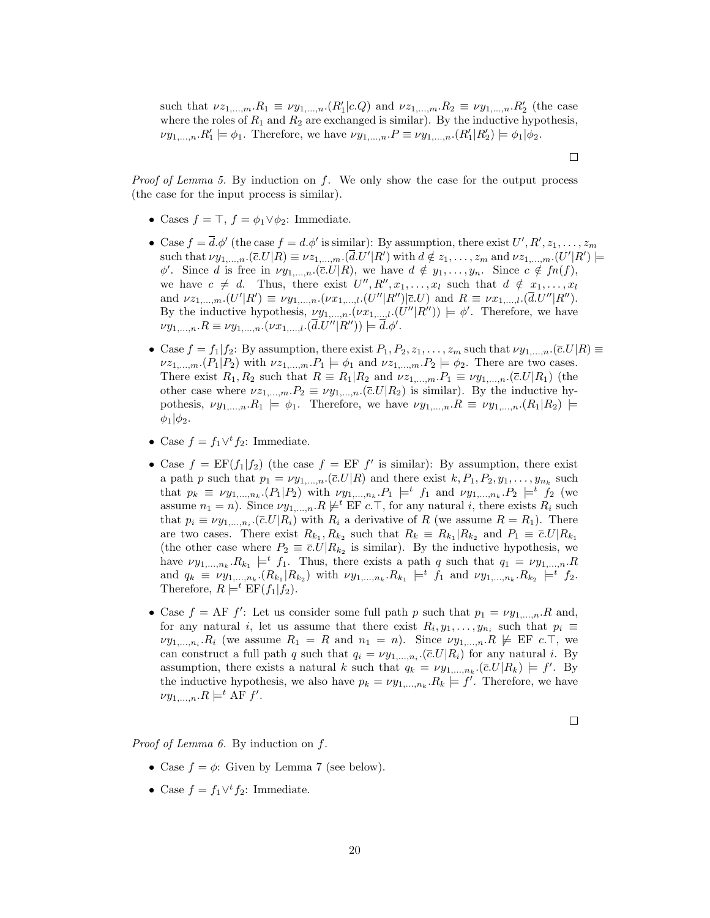such that  $\nu z_{1,\dots,m}.R_1 \equiv \nu y_{1,\dots,n}.(R_1'|c.Q)$  and  $\nu z_{1,\dots,m}.R_2 \equiv \nu y_{1,\dots,n}.R_2'$  (the case where the roles of  $R_1$  and  $R_2$  are exchanged is similar). By the inductive hypothesis,  $\nu y_{1,\dots,n} \cdot R'_1 \models \phi_1$ . Therefore, we have  $\nu y_{1,\dots,n} \cdot P \equiv \nu y_{1,\dots,n} \cdot (R'_1 | R'_2) \models \phi_1 | \phi_2$ .

*Proof of Lemma 5.* By induction on f. We only show the case for the output process (the case for the input process is similar).

- Cases  $f = \top$ ,  $f = \phi_1 \vee \phi_2$ : Immediate.
- Case  $f = \overline{d} \cdot \phi'$  (the case  $f = d \cdot \phi'$  is similar): By assumption, there exist  $U', R', z_1, \ldots, z_m$ such that  $\nu y_{1,...,n}$ .  $(\bar{c}U|R) \equiv \nu z_{1,...,m}$ .  $(\bar{d}U'|R')$  with  $d \notin z_1,...,z_m$  and  $\nu z_{1,...,m}$ .  $(U'|R') \models$  $\phi'$ . Since d is free in  $\nu y_{1,\dots,n}$ . ( $\overline{c}$ .*U*|*R*), we have  $d \notin y_1, \dots, y_n$ . Since  $c \notin fn(f)$ , we have  $c \neq d$ . Thus, there exist  $U'', R'', x_1, \ldots, x_l$  such that  $d \notin x_1, \ldots, x_l$ and  $\nu z_{1,...,m}$ . $(U'|R') \equiv \nu y_{1,...,n}$ . $(\nu x_{1,...,l}$ . $(U''|R'')|\bar{c}U)$  and  $R \equiv \nu x_{1,...,l}$ . $(\bar{d}U''|R'')$ . By the inductive hypothesis,  $\nu y_{1,\dots,n}$ .  $(\nu x_{1,\dots,l}$ .  $(U''|R'')$  =  $\phi'$ . Therefore, we have  $\nu y_{1,...,n} R \equiv \nu y_{1,...,n} . (\nu x_{1,...,l} . (\bar{d} . U'' | R'')) \models \bar{d} . \phi'.$
- Case  $f = f_1 | f_2$ : By assumption, there exist  $P_1, P_2, z_1, \ldots, z_m$  such that  $\nu y_{1,\ldots,n}$ . ( $\bar{c}$ . $U|R$ )  $\equiv$  $\nu z_{1,\dots,m}$ . $(P_1|P_2)$  with  $\nu z_{1,\dots,m}$ . $P_1 \models \phi_1$  and  $\nu z_{1,\dots,m}$ . $P_2 \models \phi_2$ . There are two cases. There exist  $R_1, R_2$  such that  $R \equiv R_1 | R_2$  and  $\nu z_{1,...,m}. P_1 \equiv \nu y_{1,...,n}. (\bar{c}U|R_1)$  (the other case where  $\nu z_{1,...,m}P_2 \equiv \nu y_{1,...,n}(\bar{c}U|R_2)$  is similar). By the inductive hypothesis,  $\nu y_{1,...,n}.R_1 \models \phi_1$ . Therefore, we have  $\nu y_{1,...,n}.R \equiv \nu y_{1,...,n}.(R_1|R_2) \models$  $\phi_1|\phi_2$ .
- Case  $f = f_1 \vee^t f_2$ : Immediate.
- Case  $f = EF(f_1|f_2)$  (the case  $f = EF f'$  is similar): By assumption, there exist a path p such that  $p_1 = \nu y_{1,\dots,n}$ .  $(\bar{c}U|R)$  and there exist  $k, P_1, P_2, y_1, \dots, y_{n_k}$  such that  $p_k \equiv \nu y_{1,\dots,n_k}$  ( $P_1 | P_2$ ) with  $\nu y_{1,\dots,n_k}$   $P_1 \models^t f_1$  and  $\nu y_{1,\dots,n_k}$   $P_2 \models^t f_2$  (we assume  $n_1 = n$ ). Since  $\nu y_1,...,n$ .  $R \not\models^t \text{EF } c$ . T, for any natural i, there exists  $R_i$  such that  $p_i \equiv \nu y_{1,\dots,n_i}$ . ( $\bar{c}$ .*U*| $R_i$ ) with  $R_i$  a derivative of R (we assume  $R = R_1$ ). There are two cases. There exist  $R_{k_1}, R_{k_2}$  such that  $R_k \equiv R_{k_1} | R_{k_2}$  and  $P_1 \equiv \overline{c}U | R_{k_1}$ (the other case where  $P_2 \equiv \bar{c} U | R_{k_2}$  is similar). By the inductive hypothesis, we have  $\nu y_{1,\dots,n_k} R_{k_1} \models^t f_1$ . Thus, there exists a path q such that  $q_1 = \nu y_{1,\dots,n} R$ and  $q_k \equiv \nu y_{1,...,n_k} \cdot (R_{k_1} | R_{k_2})$  with  $\nu y_{1,...,n_k} \cdot R_{k_1} \models^t f_1$  and  $\nu y_{1,...,n_k} \cdot R_{k_2} \models^t f_2$ . Therefore,  $R \models^t \text{EF}(f_1|f_2)$ .
- Case  $f = AF f'$ : Let us consider some full path p such that  $p_1 = \nu y_{1,\dots,n}$ . R and, for any natural i, let us assume that there exist  $R_i, y_1, \ldots, y_{n_i}$  such that  $p_i \equiv$  $\nu y_{1,\dots,n_i}.R_i$  (we assume  $R_1 = R$  and  $n_1 = n$ ). Since  $\nu y_{1,\dots,n}.R \not\models E\!F$  c. T, we can construct a full path q such that  $q_i = \nu y_{1,\dots,n_i}$ . ( $\overline{c}$ .  $U|R_i$ ) for any natural i. By assumption, there exists a natural k such that  $q_k = \nu y_{1,\dots,n_k}$ .  $(\bar{c}U|R_k) \models f'$ . By the inductive hypothesis, we also have  $p_k = \nu y_{1,\dots,n_k}$ .  $R_k \models f'$ . Therefore, we have  $\nu y_{1,\dots,n}.R \models^t \text{AF } f'.$

 $\Box$ 

Proof of Lemma 6. By induction on f.

- Case  $f = \phi$ : Given by Lemma 7 (see below).
- Case  $f = f_1 \vee^t f_2$ : Immediate.

 $\Box$